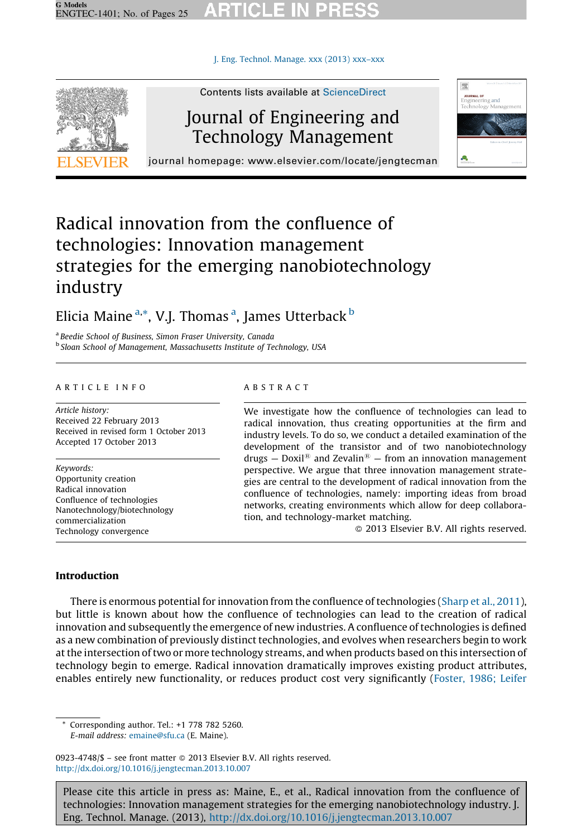[J. Eng. Technol. Manage. xxx \(2013\) xxx–xxx](http://dx.doi.org/10.1016/j.jengtecman.2013.10.007)



Contents lists available at [ScienceDirect](http://www.sciencedirect.com/science/journal/09234748)

# Journal of Engineering and Technology Management



# Radical innovation from the confluence of technologies: Innovation management strategies for the emerging nanobiotechnology industry

# Elicia Maine <sup>a,\*</sup>, V.J. Thomas <sup>a</sup>, James Utterback <sup>b</sup>

<sup>a</sup> Beedie School of Business, Simon Fraser University, Canada **b** Sloan School of Management, Massachusetts Institute of Technology, USA

# ARTICLE INFO

Article history: Received 22 February 2013 Received in revised form 1 October 2013 Accepted 17 October 2013

Keywords: Opportunity creation Radical innovation Confluence of technologies Nanotechnology/biotechnology commercialization Technology convergence

# ABSTRACT

We investigate how the confluence of technologies can lead to radical innovation, thus creating opportunities at the firm and industry levels. To do so, we conduct a detailed examination of the development of the transistor and of two nanobiotechnology drugs  $-$  Doxil<sup>®</sup> and Zevalin<sup>®</sup>  $-$  from an innovation management perspective. We argue that three innovation management strategies are central to the development of radical innovation from the confluence of technologies, namely: importing ideas from broad networks, creating environments which allow for deep collaboration, and technology-market matching.

- 2013 Elsevier B.V. All rights reserved.

# Introduction

There is enormous potential for innovation from the confluence of technologies ([Sharp et al., 2011\)](#page-23-0), but little is known about how the confluence of technologies can lead to the creation of radical innovation and subsequently the emergence of new industries. A confluence of technologies is defined as a new combination of previously distinct technologies, and evolves when researchers begin to work at the intersection of two or more technology streams, and when products based on this intersection of technology begin to emerge. Radical innovation dramatically improves existing product attributes, enables entirely new functionality, or reduces product cost very significantly ([Foster, 1986; Leifer](#page-22-0)

Corresponding author. Tel.: +1 778 782 5260. E-mail address: [emaine@sfu.ca](mailto:emaine@sfu.ca) (E. Maine).

0923-4748/\$ – see front matter © 2013 Elsevier B.V. All rights reserved. <http://dx.doi.org/10.1016/j.jengtecman.2013.10.007>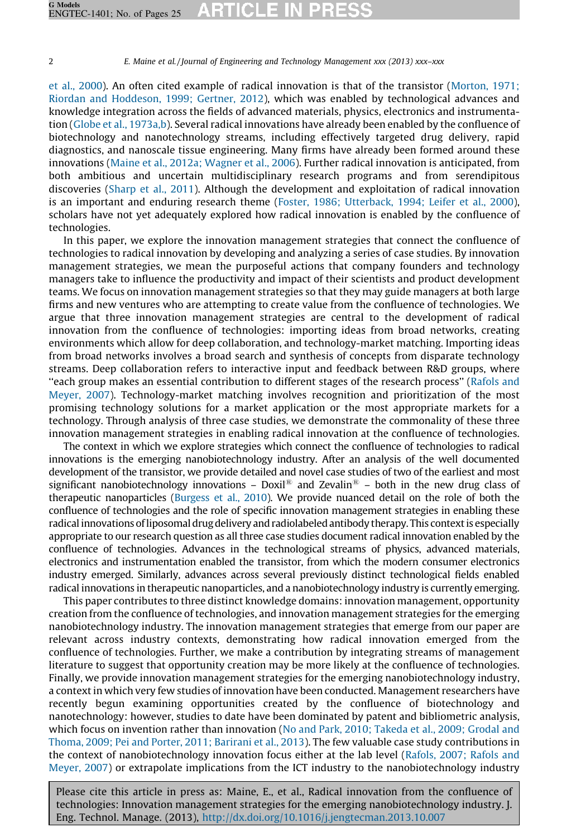[et al., 2000](#page-22-0)). An often cited example of radical innovation is that of the transistor [\(Morton, 1971;](#page-23-0) [Riordan and Hoddeson, 1999; Gertner, 2012](#page-23-0)), which was enabled by technological advances and knowledge integration across the fields of advanced materials, physics, electronics and instrumentation ([Globe et al., 1973a,b](#page-22-0)). Several radical innovations have already been enabled by the confluence of biotechnology and nanotechnology streams, including effectively targeted drug delivery, rapid diagnostics, and nanoscale tissue engineering. Many firms have already been formed around these innovations ([Maine et al., 2012a; Wagner et al., 2006\)](#page-22-0). Further radical innovation is anticipated, from both ambitious and uncertain multidisciplinary research programs and from serendipitous discoveries ([Sharp et al., 2011\)](#page-23-0). Although the development and exploitation of radical innovation is an important and enduring research theme [\(Foster, 1986; Utterback, 1994; Leifer et al., 2000](#page-22-0)), scholars have not yet adequately explored how radical innovation is enabled by the confluence of technologies.

In this paper, we explore the innovation management strategies that connect the confluence of technologies to radical innovation by developing and analyzing a series of case studies. By innovation management strategies, we mean the purposeful actions that company founders and technology managers take to influence the productivity and impact of their scientists and product development teams. We focus on innovation management strategies so that they may guide managers at both large firms and new ventures who are attempting to create value from the confluence of technologies. We argue that three innovation management strategies are central to the development of radical innovation from the confluence of technologies: importing ideas from broad networks, creating environments which allow for deep collaboration, and technology-market matching. Importing ideas from broad networks involves a broad search and synthesis of concepts from disparate technology streams. Deep collaboration refers to interactive input and feedback between R&D groups, where ''each group makes an essential contribution to different stages of the research process'' ([Rafols and](#page-23-0) [Meyer, 2007](#page-23-0)). Technology-market matching involves recognition and prioritization of the most promising technology solutions for a market application or the most appropriate markets for a technology. Through analysis of three case studies, we demonstrate the commonality of these three innovation management strategies in enabling radical innovation at the confluence of technologies.

The context in which we explore strategies which connect the confluence of technologies to radical innovations is the emerging nanobiotechnology industry. After an analysis of the well documented development of the transistor, we provide detailed and novel case studies of two of the earliest and most significant nanobiotechnology innovations – Doxil<sup>®</sup> and Zevalin<sup>®</sup> – both in the new drug class of therapeutic nanoparticles ([Burgess et al., 2010\)](#page-21-0). We provide nuanced detail on the role of both the confluence of technologies and the role of specific innovation management strategies in enabling these radical innovations of liposomal drug delivery and radiolabeled antibody therapy. This context is especially appropriate to our research question as all three case studies document radical innovation enabled by the confluence of technologies. Advances in the technological streams of physics, advanced materials, electronics and instrumentation enabled the transistor, from which the modern consumer electronics industry emerged. Similarly, advances across several previously distinct technological fields enabled radical innovations in therapeutic nanoparticles, and a nanobiotechnology industry is currently emerging.

This paper contributes to three distinct knowledge domains: innovation management, opportunity creation from the confluence of technologies, and innovation management strategies for the emerging nanobiotechnology industry. The innovation management strategies that emerge from our paper are relevant across industry contexts, demonstrating how radical innovation emerged from the confluence of technologies. Further, we make a contribution by integrating streams of management literature to suggest that opportunity creation may be more likely at the confluence of technologies. Finally, we provide innovation management strategies for the emerging nanobiotechnology industry, a context in which very few studies of innovation have been conducted. Management researchers have recently begun examining opportunities created by the confluence of biotechnology and nanotechnology: however, studies to date have been dominated by patent and bibliometric analysis, which focus on invention rather than innovation ([No and Park, 2010; Takeda et al., 2009; Grodal and](#page-23-0) [Thoma, 2009; Pei and Porter, 2011; Barirani et al., 2013](#page-23-0)). The few valuable case study contributions in the context of nanobiotechnology innovation focus either at the lab level [\(Rafols, 2007; Rafols and](#page-23-0) [Meyer, 2007\)](#page-23-0) or extrapolate implications from the ICT industry to the nanobiotechnology industry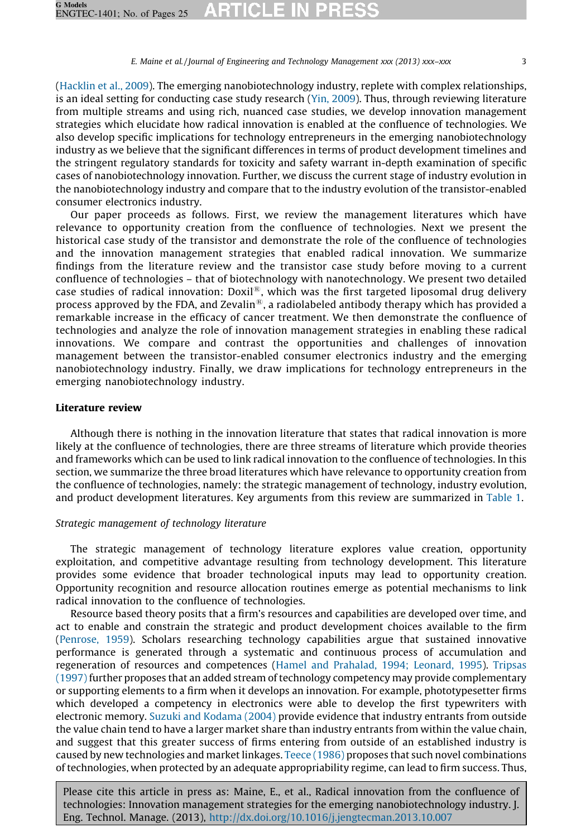[\(Hacklin et al., 2009\)](#page-22-0). The emerging nanobiotechnology industry, replete with complex relationships, is an ideal setting for conducting case study research ([Yin, 2009\)](#page-24-0). Thus, through reviewing literature from multiple streams and using rich, nuanced case studies, we develop innovation management strategies which elucidate how radical innovation is enabled at the confluence of technologies. We also develop specific implications for technology entrepreneurs in the emerging nanobiotechnology industry as we believe that the significant differences in terms of product development timelines and the stringent regulatory standards for toxicity and safety warrant in-depth examination of specific cases of nanobiotechnology innovation. Further, we discuss the current stage of industry evolution in the nanobiotechnology industry and compare that to the industry evolution of the transistor-enabled consumer electronics industry.

Our paper proceeds as follows. First, we review the management literatures which have relevance to opportunity creation from the confluence of technologies. Next we present the historical case study of the transistor and demonstrate the role of the confluence of technologies and the innovation management strategies that enabled radical innovation. We summarize findings from the literature review and the transistor case study before moving to a current confluence of technologies – that of biotechnology with nanotechnology. We present two detailed case studies of radical innovation:  $Doxil^{\circledR}$ , which was the first targeted liposomal drug delivery process approved by the FDA, and Zevalin<sup>®</sup>, a radiolabeled antibody therapy which has provided a remarkable increase in the efficacy of cancer treatment. We then demonstrate the confluence of technologies and analyze the role of innovation management strategies in enabling these radical innovations. We compare and contrast the opportunities and challenges of innovation management between the transistor-enabled consumer electronics industry and the emerging nanobiotechnology industry. Finally, we draw implications for technology entrepreneurs in the emerging nanobiotechnology industry.

## Literature review

Although there is nothing in the innovation literature that states that radical innovation is more likely at the confluence of technologies, there are three streams of literature which provide theories and frameworks which can be used to link radical innovation to the confluence of technologies. In this section, we summarize the three broad literatures which have relevance to opportunity creation from the confluence of technologies, namely: the strategic management of technology, industry evolution, and product development literatures. Key arguments from this review are summarized in [Table 1.](#page-3-0)

# Strategic management of technology literature

The strategic management of technology literature explores value creation, opportunity exploitation, and competitive advantage resulting from technology development. This literature provides some evidence that broader technological inputs may lead to opportunity creation. Opportunity recognition and resource allocation routines emerge as potential mechanisms to link radical innovation to the confluence of technologies.

Resource based theory posits that a firm's resources and capabilities are developed over time, and act to enable and constrain the strategic and product development choices available to the firm [\(Penrose, 1959\)](#page-23-0). Scholars researching technology capabilities argue that sustained innovative performance is generated through a systematic and continuous process of accumulation and regeneration of resources and competences [\(Hamel and Prahalad, 1994; Leonard, 1995\)](#page-22-0). [Tripsas](#page-24-0) [\(1997\)](#page-24-0) further proposes that an added stream of technology competency may provide complementary or supporting elements to a firm when it develops an innovation. For example, phototypesetter firms which developed a competency in electronics were able to develop the first typewriters with electronic memory. [Suzuki and Kodama \(2004\)](#page-23-0) provide evidence that industry entrants from outside the value chain tend to have a larger market share than industry entrants from within the value chain, and suggest that this greater success of firms entering from outside of an established industry is caused by new technologies and market linkages. [Teece \(1986\)](#page-23-0) proposes that such novel combinations of technologies, when protected by an adequate appropriability regime, can lead to firm success. Thus,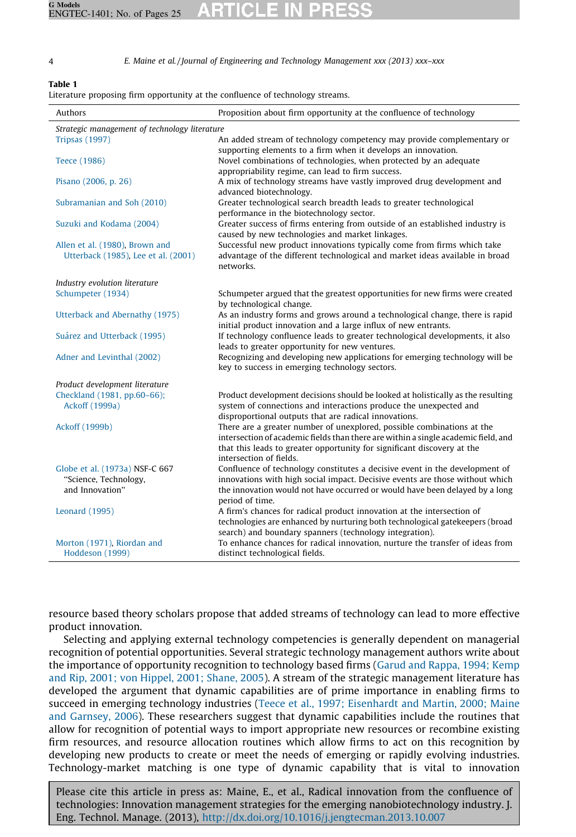### <span id="page-3-0"></span>Table 1

Literature proposing firm opportunity at the confluence of technology streams.

| Authors                                       | Proposition about firm opportunity at the confluence of technology                                                                                                                                                |  |  |  |  |
|-----------------------------------------------|-------------------------------------------------------------------------------------------------------------------------------------------------------------------------------------------------------------------|--|--|--|--|
| Strategic management of technology literature |                                                                                                                                                                                                                   |  |  |  |  |
| <b>Tripsas (1997)</b>                         | An added stream of technology competency may provide complementary or<br>supporting elements to a firm when it develops an innovation.                                                                            |  |  |  |  |
| Teece (1986)                                  | Novel combinations of technologies, when protected by an adequate<br>appropriability regime, can lead to firm success.                                                                                            |  |  |  |  |
| Pisano (2006, p. 26)                          | A mix of technology streams have vastly improved drug development and<br>advanced biotechnology.                                                                                                                  |  |  |  |  |
| Subramanian and Soh (2010)                    | Greater technological search breadth leads to greater technological<br>performance in the biotechnology sector.                                                                                                   |  |  |  |  |
| Suzuki and Kodama (2004)                      | Greater success of firms entering from outside of an established industry is<br>caused by new technologies and market linkages.                                                                                   |  |  |  |  |
| Allen et al. (1980), Brown and                | Successful new product innovations typically come from firms which take                                                                                                                                           |  |  |  |  |
| Utterback (1985), Lee et al. (2001)           | advantage of the different technological and market ideas available in broad<br>networks.                                                                                                                         |  |  |  |  |
| Industry evolution literature                 |                                                                                                                                                                                                                   |  |  |  |  |
| Schumpeter (1934)                             | Schumpeter argued that the greatest opportunities for new firms were created<br>by technological change.                                                                                                          |  |  |  |  |
| Utterback and Abernathy (1975)                | As an industry forms and grows around a technological change, there is rapid<br>initial product innovation and a large influx of new entrants.                                                                    |  |  |  |  |
| Suárez and Utterback (1995)                   | If technology confluence leads to greater technological developments, it also<br>leads to greater opportunity for new ventures.                                                                                   |  |  |  |  |
| Adner and Levinthal (2002)                    | Recognizing and developing new applications for emerging technology will be<br>key to success in emerging technology sectors.                                                                                     |  |  |  |  |
| Product development literature                |                                                                                                                                                                                                                   |  |  |  |  |
| Checkland (1981, pp.60-66);<br>Ackoff (1999a) | Product development decisions should be looked at holistically as the resulting<br>system of connections and interactions produce the unexpected and                                                              |  |  |  |  |
| Ackoff (1999b)                                | disproportional outputs that are radical innovations.<br>There are a greater number of unexplored, possible combinations at the                                                                                   |  |  |  |  |
|                                               | intersection of academic fields than there are within a single academic field, and<br>that this leads to greater opportunity for significant discovery at the<br>intersection of fields.                          |  |  |  |  |
| Globe et al. (1973a) NSF-C 667                | Confluence of technology constitutes a decisive event in the development of                                                                                                                                       |  |  |  |  |
| "Science, Technology,                         | innovations with high social impact. Decisive events are those without which                                                                                                                                      |  |  |  |  |
| and Innovation"                               | the innovation would not have occurred or would have been delayed by a long<br>period of time.                                                                                                                    |  |  |  |  |
| Leonard (1995)                                | A firm's chances for radical product innovation at the intersection of<br>technologies are enhanced by nurturing both technological gatekeepers (broad<br>search) and boundary spanners (technology integration). |  |  |  |  |
| Morton (1971), Riordan and<br>Hoddeson (1999) | To enhance chances for radical innovation, nurture the transfer of ideas from<br>distinct technological fields.                                                                                                   |  |  |  |  |

resource based theory scholars propose that added streams of technology can lead to more effective product innovation.

Selecting and applying external technology competencies is generally dependent on managerial recognition of potential opportunities. Several strategic technology management authors write about the importance of opportunity recognition to technology based firms [\(Garud and Rappa, 1994; Kemp](#page-22-0) [and Rip, 2001; von Hippel, 2001; Shane, 2005\)](#page-22-0). A stream of the strategic management literature has developed the argument that dynamic capabilities are of prime importance in enabling firms to succeed in emerging technology industries [\(Teece et al., 1997; Eisenhardt and Martin, 2000; Maine](#page-23-0) [and Garnsey, 2006](#page-23-0)). These researchers suggest that dynamic capabilities include the routines that allow for recognition of potential ways to import appropriate new resources or recombine existing firm resources, and resource allocation routines which allow firms to act on this recognition by developing new products to create or meet the needs of emerging or rapidly evolving industries. Technology-market matching is one type of dynamic capability that is vital to innovation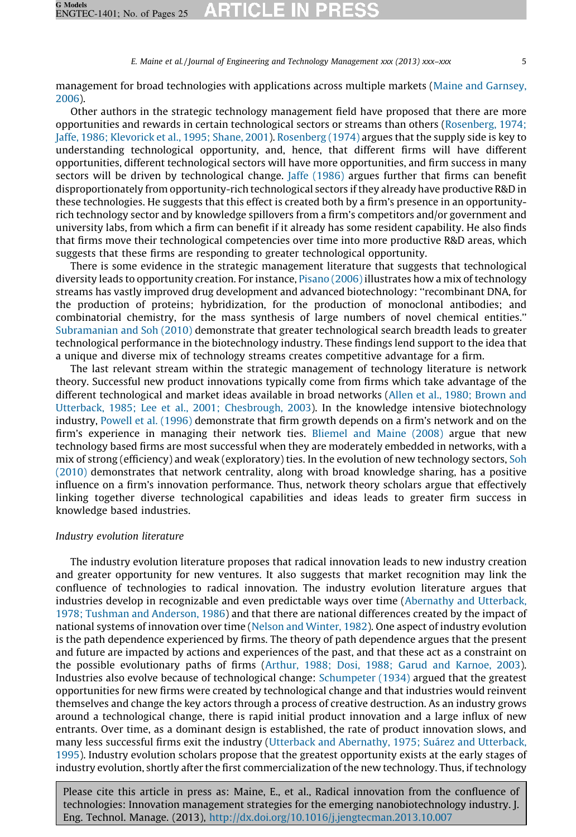management for broad technologies with applications across multiple markets [\(Maine and Garnsey,](#page-22-0) [2006\)](#page-22-0).

Other authors in the strategic technology management field have proposed that there are more opportunities and rewards in certain technological sectors or streams than others ([Rosenberg, 1974;](#page-23-0) [Jaffe, 1986; Klevorick et al., 1995; Shane, 2001\)](#page-23-0). [Rosenberg \(1974\)](#page-23-0) argues that the supply side is key to understanding technological opportunity, and, hence, that different firms will have different opportunities, different technological sectors will have more opportunities, and firm success in many sectors will be driven by technological change. [Jaffe \(1986\)](#page-22-0) argues further that firms can benefit disproportionately from opportunity-rich technological sectors if they already have productive R&D in these technologies. He suggests that this effect is created both by a firm's presence in an opportunityrich technology sector and by knowledge spillovers from a firm's competitors and/or government and university labs, from which a firm can benefit if it already has some resident capability. He also finds that firms move their technological competencies over time into more productive R&D areas, which suggests that these firms are responding to greater technological opportunity.

There is some evidence in the strategic management literature that suggests that technological diversity leads to opportunity creation. For instance, [Pisano \(2006\)](#page-23-0) illustrates how a mix of technology streams has vastly improved drug development and advanced biotechnology: ''recombinant DNA, for the production of proteins; hybridization, for the production of monoclonal antibodies; and combinatorial chemistry, for the mass synthesis of large numbers of novel chemical entities.'' [Subramanian and Soh \(2010\)](#page-23-0) demonstrate that greater technological search breadth leads to greater technological performance in the biotechnology industry. These findings lend support to the idea that a unique and diverse mix of technology streams creates competitive advantage for a firm.

The last relevant stream within the strategic management of technology literature is network theory. Successful new product innovations typically come from firms which take advantage of the different technological and market ideas available in broad networks ([Allen et al., 1980; Brown and](#page-21-0) [Utterback, 1985; Lee et al., 2001; Chesbrough, 2003\)](#page-21-0). In the knowledge intensive biotechnology industry, [Powell et al. \(1996\)](#page-23-0) demonstrate that firm growth depends on a firm's network and on the firm's experience in managing their network ties. [Bliemel and Maine \(2008\)](#page-21-0) argue that new technology based firms are most successful when they are moderately embedded in networks, with a mix of strong (efficiency) and weak (exploratory) ties. In the evolution of new technology sectors, [Soh](#page-23-0) [\(2010\)](#page-23-0) demonstrates that network centrality, along with broad knowledge sharing, has a positive influence on a firm's innovation performance. Thus, network theory scholars argue that effectively linking together diverse technological capabilities and ideas leads to greater firm success in knowledge based industries.

#### Industry evolution literature

The industry evolution literature proposes that radical innovation leads to new industry creation and greater opportunity for new ventures. It also suggests that market recognition may link the confluence of technologies to radical innovation. The industry evolution literature argues that industries develop in recognizable and even predictable ways over time ([Abernathy and Utterback,](#page-21-0) [1978; Tushman and Anderson, 1986](#page-21-0)) and that there are national differences created by the impact of national systems of innovation over time [\(Nelson and Winter, 1982\)](#page-23-0). One aspect of industry evolution is the path dependence experienced by firms. The theory of path dependence argues that the present and future are impacted by actions and experiences of the past, and that these act as a constraint on the possible evolutionary paths of firms ([Arthur, 1988; Dosi, 1988; Garud and Karnoe, 2003\)](#page-21-0). Industries also evolve because of technological change: [Schumpeter \(1934\)](#page-23-0) argued that the greatest opportunities for new firms were created by technological change and that industries would reinvent themselves and change the key actors through a process of creative destruction. As an industry grows around a technological change, there is rapid initial product innovation and a large influx of new entrants. Over time, as a dominant design is established, the rate of product innovation slows, and many less successful firms exit the industry (Utterback and Abernathy, 1975; Suárez and Utterback, [1995\)](#page-24-0). Industry evolution scholars propose that the greatest opportunity exists at the early stages of industry evolution, shortly after the first commercialization of the new technology. Thus, if technology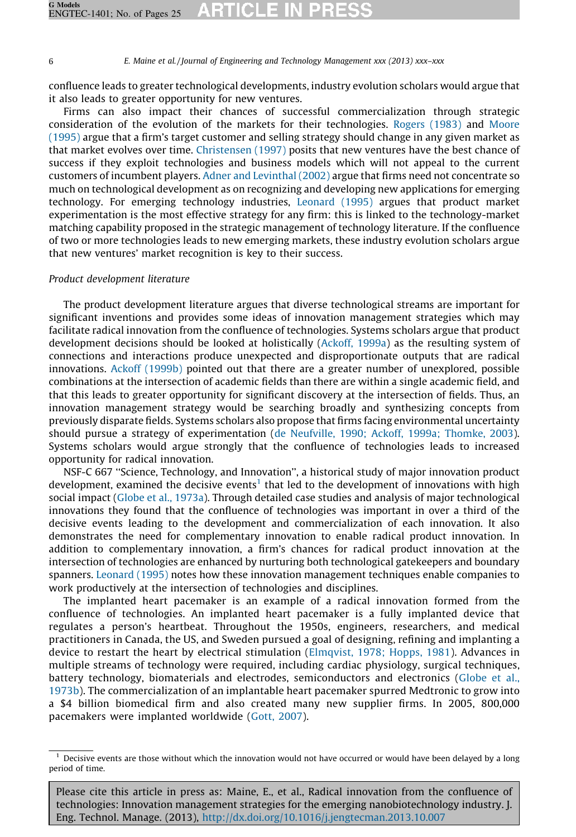confluence leads to greater technological developments, industry evolution scholars would argue that it also leads to greater opportunity for new ventures.

Firms can also impact their chances of successful commercialization through strategic consideration of the evolution of the markets for their technologies. [Rogers \(1983\)](#page-23-0) and [Moore](#page-23-0) [\(1995\)](#page-23-0) argue that a firm's target customer and selling strategy should change in any given market as that market evolves over time. [Christensen \(1997\)](#page-21-0) posits that new ventures have the best chance of success if they exploit technologies and business models which will not appeal to the current customers of incumbent players. [Adner and Levinthal \(2002\)](#page-21-0) argue that firms need not concentrate so much on technological development as on recognizing and developing new applications for emerging technology. For emerging technology industries, [Leonard \(1995\)](#page-22-0) argues that product market experimentation is the most effective strategy for any firm: this is linked to the technology-market matching capability proposed in the strategic management of technology literature. If the confluence of two or more technologies leads to new emerging markets, these industry evolution scholars argue that new ventures' market recognition is key to their success.

## Product development literature

The product development literature argues that diverse technological streams are important for significant inventions and provides some ideas of innovation management strategies which may facilitate radical innovation from the confluence of technologies. Systems scholars argue that product development decisions should be looked at holistically ([Ackoff, 1999a\)](#page-21-0) as the resulting system of connections and interactions produce unexpected and disproportionate outputs that are radical innovations. [Ackoff \(1999b\)](#page-21-0) pointed out that there are a greater number of unexplored, possible combinations at the intersection of academic fields than there are within a single academic field, and that this leads to greater opportunity for significant discovery at the intersection of fields. Thus, an innovation management strategy would be searching broadly and synthesizing concepts from previously disparate fields. Systems scholars also propose that firms facing environmental uncertainty should pursue a strategy of experimentation [\(de Neufville, 1990; Ackoff, 1999a; Thomke, 2003](#page-21-0)). Systems scholars would argue strongly that the confluence of technologies leads to increased opportunity for radical innovation.

NSF-C 667 ''Science, Technology, and Innovation'', a historical study of major innovation product development, examined the decisive events<sup>1</sup> that led to the development of innovations with high social impact [\(Globe et al., 1973a\)](#page-22-0). Through detailed case studies and analysis of major technological innovations they found that the confluence of technologies was important in over a third of the decisive events leading to the development and commercialization of each innovation. It also demonstrates the need for complementary innovation to enable radical product innovation. In addition to complementary innovation, a firm's chances for radical product innovation at the intersection of technologies are enhanced by nurturing both technological gatekeepers and boundary spanners. [Leonard \(1995\)](#page-22-0) notes how these innovation management techniques enable companies to work productively at the intersection of technologies and disciplines.

The implanted heart pacemaker is an example of a radical innovation formed from the confluence of technologies. An implanted heart pacemaker is a fully implanted device that regulates a person's heartbeat. Throughout the 1950s, engineers, researchers, and medical practitioners in Canada, the US, and Sweden pursued a goal of designing, refining and implanting a device to restart the heart by electrical stimulation [\(Elmqvist, 1978; Hopps, 1981](#page-22-0)). Advances in multiple streams of technology were required, including cardiac physiology, surgical techniques, battery technology, biomaterials and electrodes, semiconductors and electronics ([Globe et al.,](#page-22-0) [1973b](#page-22-0)). The commercialization of an implantable heart pacemaker spurred Medtronic to grow into a \$4 billion biomedical firm and also created many new supplier firms. In 2005, 800,000 pacemakers were implanted worldwide ([Gott, 2007\)](#page-22-0).

 $<sup>1</sup>$  Decisive events are those without which the innovation would not have occurred or would have been delayed by a long</sup> period of time.

Please cite this article in press as: Maine, E., et al., Radical innovation from the confluence of technologies: Innovation management strategies for the emerging nanobiotechnology industry. J. Eng. Technol. Manage. (2013), <http://dx.doi.org/10.1016/j.jengtecman.2013.10.007>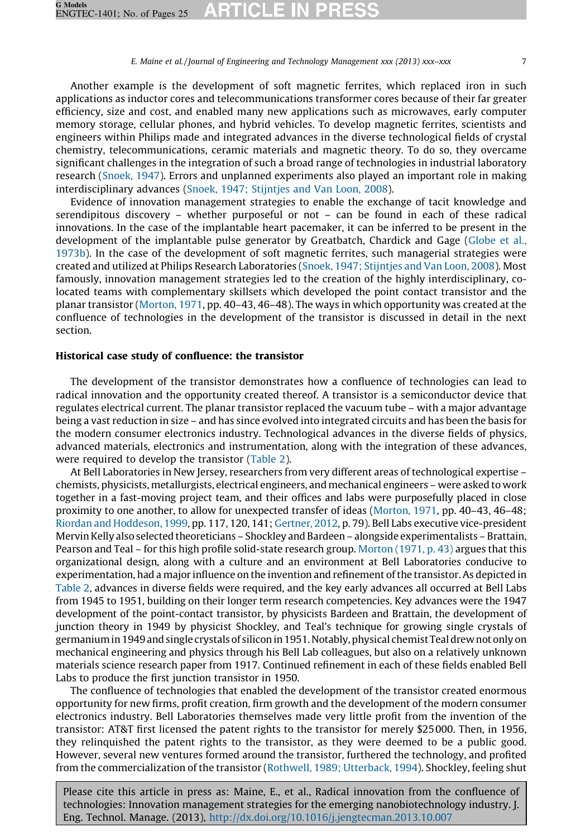Another example is the development of soft magnetic ferrites, which replaced iron in such applications as inductor cores and telecommunications transformer cores because of their far greater efficiency, size and cost, and enabled many new applications such as microwaves, early computer memory storage, cellular phones, and hybrid vehicles. To develop magnetic ferrites, scientists and engineers within Philips made and integrated advances in the diverse technological fields of crystal chemistry, telecommunications, ceramic materials and magnetic theory. To do so, they overcame significant challenges in the integration of such a broad range of technologies in industrial laboratory research [\(Snoek, 1947\)](#page-23-0). Errors and unplanned experiments also played an important role in making interdisciplinary advances [\(Snoek, 1947; Stijntjes and Van Loon, 2008](#page-23-0)).

Evidence of innovation management strategies to enable the exchange of tacit knowledge and serendipitous discovery – whether purposeful or not – can be found in each of these radical innovations. In the case of the implantable heart pacemaker, it can be inferred to be present in the development of the implantable pulse generator by Greatbatch, Chardick and Gage ([Globe et al.,](#page-22-0) [1973b\)](#page-22-0). In the case of the development of soft magnetic ferrites, such managerial strategies were created and utilized at Philips Research Laboratories ([Snoek, 1947; Stijntjes and Van Loon, 2008](#page-23-0)). Most famously, innovation management strategies led to the creation of the highly interdisciplinary, colocated teams with complementary skillsets which developed the point contact transistor and the planar transistor [\(Morton, 1971,](#page-23-0) pp. 40–43, 46–48). The ways in which opportunity was created at the confluence of technologies in the development of the transistor is discussed in detail in the next section.

# Historical case study of confluence: the transistor

The development of the transistor demonstrates how a confluence of technologies can lead to radical innovation and the opportunity created thereof. A transistor is a semiconductor device that regulates electrical current. The planar transistor replaced the vacuum tube – with a major advantage being a vast reduction in size – and has since evolved into integrated circuits and has been the basis for the modern consumer electronics industry. Technological advances in the diverse fields of physics, advanced materials, electronics and instrumentation, along with the integration of these advances, were required to develop the transistor ([Table 2\)](#page-7-0).

At Bell Laboratories in New Jersey, researchers from very different areas of technological expertise – chemists, physicists, metallurgists, electrical engineers, and mechanical engineers – were asked to work together in a fast-moving project team, and their offices and labs were purposefully placed in close proximity to one another, to allow for unexpected transfer of ideas [\(Morton, 1971,](#page-23-0) pp. 40–43, 46–48; [Riordan and Hoddeson, 1999](#page-23-0), pp. 117, 120, 141; [Gertner, 2012,](#page-22-0) p. 79). Bell Labs executive vice-president Mervin Kelly also selected theoreticians – Shockley and Bardeen – alongside experimentalists – Brattain, Pearson and Teal – for this high profile solid-state research group. [Morton \(1971, p. 43\)](#page-23-0) argues that this organizational design, along with a culture and an environment at Bell Laboratories conducive to experimentation, had a major influence on the invention and refinement of the transistor. As depicted in [Table 2,](#page-7-0) advances in diverse fields were required, and the key early advances all occurred at Bell Labs from 1945 to 1951, building on their longer term research competencies. Key advances were the 1947 development of the point-contact transistor, by physicists Bardeen and Brattain, the development of junction theory in 1949 by physicist Shockley, and Teal's technique for growing single crystals of germanium in 1949 and single crystals of silicon in 1951. Notably, physical chemist Teal drew not only on mechanical engineering and physics through his Bell Lab colleagues, but also on a relatively unknown materials science research paper from 1917. Continued refinement in each of these fields enabled Bell Labs to produce the first junction transistor in 1950.

The confluence of technologies that enabled the development of the transistor created enormous opportunity for new firms, profit creation, firm growth and the development of the modern consumer electronics industry. Bell Laboratories themselves made very little profit from the invention of the transistor: AT&T first licensed the patent rights to the transistor for merely \$25000. Then, in 1956, they relinquished the patent rights to the transistor, as they were deemed to be a public good. However, several new ventures formed around the transistor, furthered the technology, and profited from the commercialization of the transistor [\(Rothwell, 1989; Utterback, 1994](#page-23-0)). Shockley, feeling shut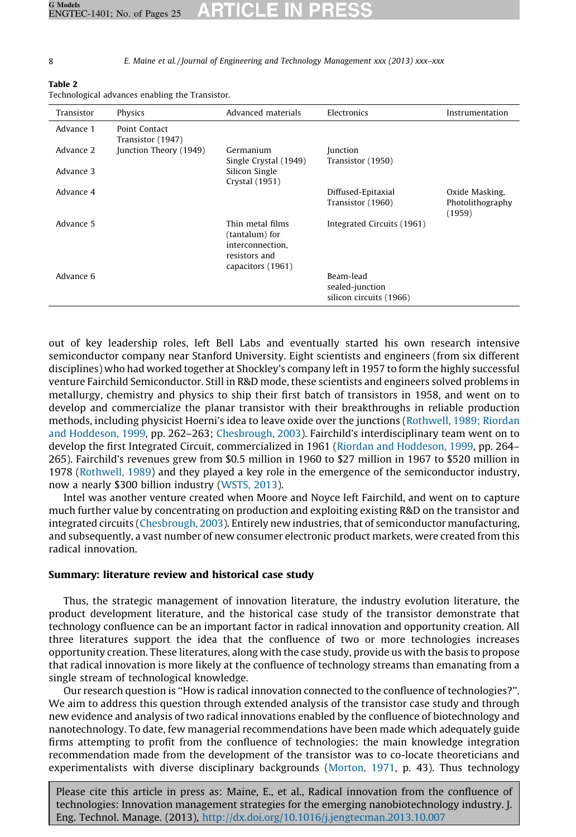#### <span id="page-7-0"></span>Table 2 Technological advances enabling the Transistor.

| Transistor | Physics                            | Advanced materials                 | Electronics                | Instrumentation  |
|------------|------------------------------------|------------------------------------|----------------------------|------------------|
| Advance 1  | Point Contact<br>Transistor (1947) |                                    |                            |                  |
| Advance 2  | Junction Theory (1949)             | Germanium                          | Junction                   |                  |
|            |                                    | Single Crystal (1949)              | Transistor (1950)          |                  |
| Advance 3  |                                    | Silicon Single<br>Crystal (1951)   |                            |                  |
| Advance 4  |                                    |                                    | Diffused-Epitaxial         | Oxide Masking,   |
|            |                                    |                                    | Transistor (1960)          | Photolithography |
|            |                                    |                                    |                            | (1959)           |
| Advance 5  |                                    | Thin metal films                   | Integrated Circuits (1961) |                  |
|            |                                    | (tantalum) for<br>interconnection. |                            |                  |
|            |                                    | resistors and                      |                            |                  |
|            |                                    | capacitors (1961)                  |                            |                  |
| Advance 6  |                                    |                                    | Beam-lead                  |                  |
|            |                                    |                                    | sealed-junction            |                  |
|            |                                    |                                    | silicon circuits (1966)    |                  |

out of key leadership roles, left Bell Labs and eventually started his own research intensive semiconductor company near Stanford University. Eight scientists and engineers (from six different disciplines) who had worked together at Shockley's company left in 1957 to form the highly successful venture Fairchild Semiconductor. Still in R&D mode, these scientists and engineers solved problems in metallurgy, chemistry and physics to ship their first batch of transistors in 1958, and went on to develop and commercialize the planar transistor with their breakthroughs in reliable production methods, including physicist Hoerni's idea to leave oxide over the junctions [\(Rothwell, 1989; Riordan](#page-23-0) [and Hoddeson, 1999](#page-23-0), pp. 262–263; [Chesbrough, 2003\)](#page-21-0). Fairchild's interdisciplinary team went on to develop the first Integrated Circuit, commercialized in 1961 ([Riordan and Hoddeson, 1999,](#page-23-0) pp. 264– 265). Fairchild's revenues grew from \$0.5 million in 1960 to \$27 million in 1967 to \$520 million in 1978 ([Rothwell, 1989\)](#page-23-0) and they played a key role in the emergence of the semiconductor industry, now a nearly \$300 billion industry ([WSTS, 2013\)](#page-24-0).

Intel was another venture created when Moore and Noyce left Fairchild, and went on to capture much further value by concentrating on production and exploiting existing R&D on the transistor and integrated circuits [\(Chesbrough, 2003\)](#page-21-0). Entirely new industries, that of semiconductor manufacturing, and subsequently, a vast number of new consumer electronic product markets, were created from this radical innovation.

# Summary: literature review and historical case study

Thus, the strategic management of innovation literature, the industry evolution literature, the product development literature, and the historical case study of the transistor demonstrate that technology confluence can be an important factor in radical innovation and opportunity creation. All three literatures support the idea that the confluence of two or more technologies increases opportunity creation. These literatures, along with the case study, provide us with the basis to propose that radical innovation is more likely at the confluence of technology streams than emanating from a single stream of technological knowledge.

Our research question is ''How is radical innovation connected to the confluence of technologies?''. We aim to address this question through extended analysis of the transistor case study and through new evidence and analysis of two radical innovations enabled by the confluence of biotechnology and nanotechnology. To date, few managerial recommendations have been made which adequately guide firms attempting to profit from the confluence of technologies: the main knowledge integration recommendation made from the development of the transistor was to co-locate theoreticians and experimentalists with diverse disciplinary backgrounds ([Morton, 1971,](#page-23-0) p. 43). Thus technology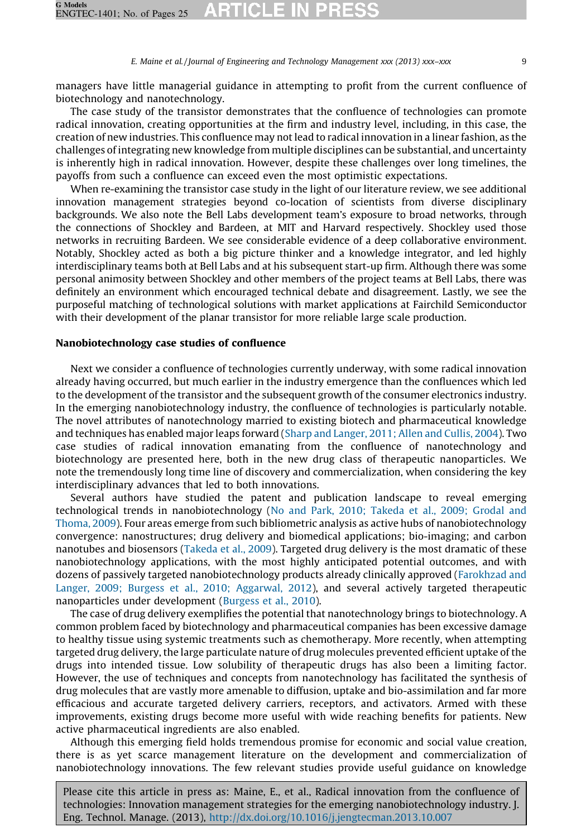managers have little managerial guidance in attempting to profit from the current confluence of biotechnology and nanotechnology.

The case study of the transistor demonstrates that the confluence of technologies can promote radical innovation, creating opportunities at the firm and industry level, including, in this case, the creation of new industries. This confluence may not lead to radical innovation in a linear fashion, as the challenges of integrating new knowledge from multiple disciplines can be substantial, and uncertainty is inherently high in radical innovation. However, despite these challenges over long timelines, the payoffs from such a confluence can exceed even the most optimistic expectations.

When re-examining the transistor case study in the light of our literature review, we see additional innovation management strategies beyond co-location of scientists from diverse disciplinary backgrounds. We also note the Bell Labs development team's exposure to broad networks, through the connections of Shockley and Bardeen, at MIT and Harvard respectively. Shockley used those networks in recruiting Bardeen. We see considerable evidence of a deep collaborative environment. Notably, Shockley acted as both a big picture thinker and a knowledge integrator, and led highly interdisciplinary teams both at Bell Labs and at his subsequent start-up firm. Although there was some personal animosity between Shockley and other members of the project teams at Bell Labs, there was definitely an environment which encouraged technical debate and disagreement. Lastly, we see the purposeful matching of technological solutions with market applications at Fairchild Semiconductor with their development of the planar transistor for more reliable large scale production.

## Nanobiotechnology case studies of confluence

Next we consider a confluence of technologies currently underway, with some radical innovation already having occurred, but much earlier in the industry emergence than the confluences which led to the development of the transistor and the subsequent growth of the consumer electronics industry. In the emerging nanobiotechnology industry, the confluence of technologies is particularly notable. The novel attributes of nanotechnology married to existing biotech and pharmaceutical knowledge and techniques has enabled major leaps forward ([Sharp and Langer, 2011; Allen and Cullis, 2004\)](#page-23-0). Two case studies of radical innovation emanating from the confluence of nanotechnology and biotechnology are presented here, both in the new drug class of therapeutic nanoparticles. We note the tremendously long time line of discovery and commercialization, when considering the key interdisciplinary advances that led to both innovations.

Several authors have studied the patent and publication landscape to reveal emerging technological trends in nanobiotechnology [\(No and Park, 2010; Takeda et al., 2009; Grodal and](#page-23-0) [Thoma, 2009](#page-23-0)). Four areas emerge from such bibliometric analysis as active hubs of nanobiotechnology convergence: nanostructures; drug delivery and biomedical applications; bio-imaging; and carbon nanotubes and biosensors ([Takeda et al., 2009\)](#page-23-0). Targeted drug delivery is the most dramatic of these nanobiotechnology applications, with the most highly anticipated potential outcomes, and with dozens of passively targeted nanobiotechnology products already clinically approved [\(Farokhzad and](#page-22-0) [Langer, 2009; Burgess et al., 2010; Aggarwal, 2012\)](#page-22-0), and several actively targeted therapeutic nanoparticles under development [\(Burgess et al., 2010](#page-21-0)).

The case of drug delivery exemplifies the potential that nanotechnology brings to biotechnology. A common problem faced by biotechnology and pharmaceutical companies has been excessive damage to healthy tissue using systemic treatments such as chemotherapy. More recently, when attempting targeted drug delivery, the large particulate nature of drug molecules prevented efficient uptake of the drugs into intended tissue. Low solubility of therapeutic drugs has also been a limiting factor. However, the use of techniques and concepts from nanotechnology has facilitated the synthesis of drug molecules that are vastly more amenable to diffusion, uptake and bio-assimilation and far more efficacious and accurate targeted delivery carriers, receptors, and activators. Armed with these improvements, existing drugs become more useful with wide reaching benefits for patients. New active pharmaceutical ingredients are also enabled.

Although this emerging field holds tremendous promise for economic and social value creation, there is as yet scarce management literature on the development and commercialization of nanobiotechnology innovations. The few relevant studies provide useful guidance on knowledge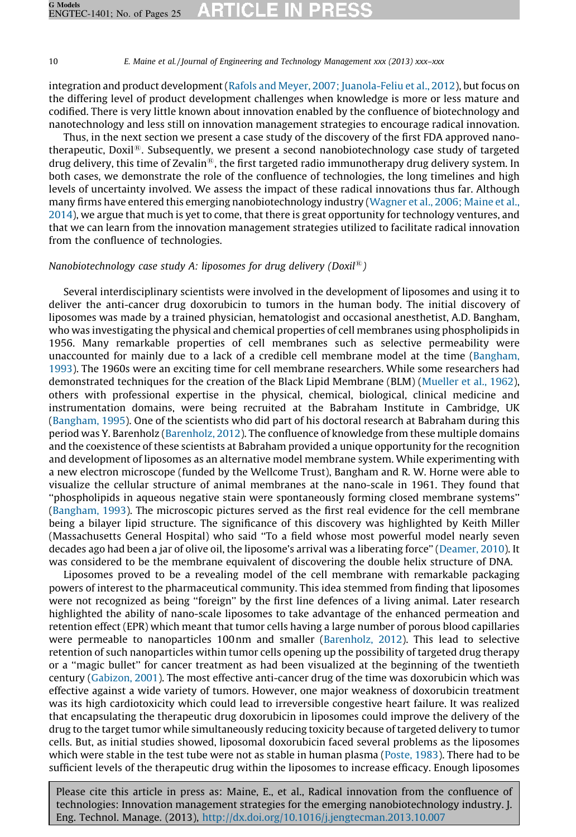integration and product development ([Rafols and Meyer, 2007; Juanola-Feliu et al., 2012\)](#page-23-0), but focus on the differing level of product development challenges when knowledge is more or less mature and codified. There is very little known about innovation enabled by the confluence of biotechnology and nanotechnology and less still on innovation management strategies to encourage radical innovation.

Thus, in the next section we present a case study of the discovery of the first FDA approved nanotherapeutic, Doxil<sup>®</sup>, Subsequently, we present a second nanobiotechnology case study of targeted drug delivery, this time of Zevalin<sup>®</sup>, the first targeted radio immunotherapy drug delivery system. In both cases, we demonstrate the role of the confluence of technologies, the long timelines and high levels of uncertainty involved. We assess the impact of these radical innovations thus far. Although many firms have entered this emerging nanobiotechnology industry [\(Wagner et al., 2006; Maine et al.,](#page-24-0) [2014\)](#page-24-0), we argue that much is yet to come, that there is great opportunity for technology ventures, and that we can learn from the innovation management strategies utilized to facilitate radical innovation from the confluence of technologies.

# Nanobiotechnology case study A: liposomes for drug delivery (Doxil<sup>®</sup>)

Several interdisciplinary scientists were involved in the development of liposomes and using it to deliver the anti-cancer drug doxorubicin to tumors in the human body. The initial discovery of liposomes was made by a trained physician, hematologist and occasional anesthetist, A.D. Bangham, who was investigating the physical and chemical properties of cell membranes using phospholipids in 1956. Many remarkable properties of cell membranes such as selective permeability were unaccounted for mainly due to a lack of a credible cell membrane model at the time ([Bangham,](#page-21-0) [1993](#page-21-0)). The 1960s were an exciting time for cell membrane researchers. While some researchers had demonstrated techniques for the creation of the Black Lipid Membrane (BLM) ([Mueller et al., 1962](#page-23-0)), others with professional expertise in the physical, chemical, biological, clinical medicine and instrumentation domains, were being recruited at the Babraham Institute in Cambridge, UK ([Bangham, 1995\)](#page-21-0). One of the scientists who did part of his doctoral research at Babraham during this period was Y. Barenholz [\(Barenholz, 2012](#page-21-0)). The confluence of knowledge from these multiple domains and the coexistence of these scientists at Babraham provided a unique opportunity for the recognition and development of liposomes as an alternative model membrane system. While experimenting with a new electron microscope (funded by the Wellcome Trust), Bangham and R. W. Horne were able to visualize the cellular structure of animal membranes at the nano-scale in 1961. They found that ''phospholipids in aqueous negative stain were spontaneously forming closed membrane systems'' ([Bangham, 1993\)](#page-21-0). The microscopic pictures served as the first real evidence for the cell membrane being a bilayer lipid structure. The significance of this discovery was highlighted by Keith Miller (Massachusetts General Hospital) who said ''To a field whose most powerful model nearly seven decades ago had been a jar of olive oil, the liposome's arrival was a liberating force'' ([Deamer, 2010\)](#page-21-0). It was considered to be the membrane equivalent of discovering the double helix structure of DNA.

Liposomes proved to be a revealing model of the cell membrane with remarkable packaging powers of interest to the pharmaceutical community. This idea stemmed from finding that liposomes were not recognized as being ''foreign'' by the first line defences of a living animal. Later research highlighted the ability of nano-scale liposomes to take advantage of the enhanced permeation and retention effect (EPR) which meant that tumor cells having a large number of porous blood capillaries were permeable to nanoparticles 100nm and smaller [\(Barenholz, 2012\)](#page-21-0). This lead to selective retention of such nanoparticles within tumor cells opening up the possibility of targeted drug therapy or a ''magic bullet'' for cancer treatment as had been visualized at the beginning of the twentieth century [\(Gabizon, 2001\)](#page-22-0). The most effective anti-cancer drug of the time was doxorubicin which was effective against a wide variety of tumors. However, one major weakness of doxorubicin treatment was its high cardiotoxicity which could lead to irreversible congestive heart failure. It was realized that encapsulating the therapeutic drug doxorubicin in liposomes could improve the delivery of the drug to the target tumor while simultaneously reducing toxicity because of targeted delivery to tumor cells. But, as initial studies showed, liposomal doxorubicin faced several problems as the liposomes which were stable in the test tube were not as stable in human plasma ([Poste, 1983](#page-23-0)). There had to be sufficient levels of the therapeutic drug within the liposomes to increase efficacy. Enough liposomes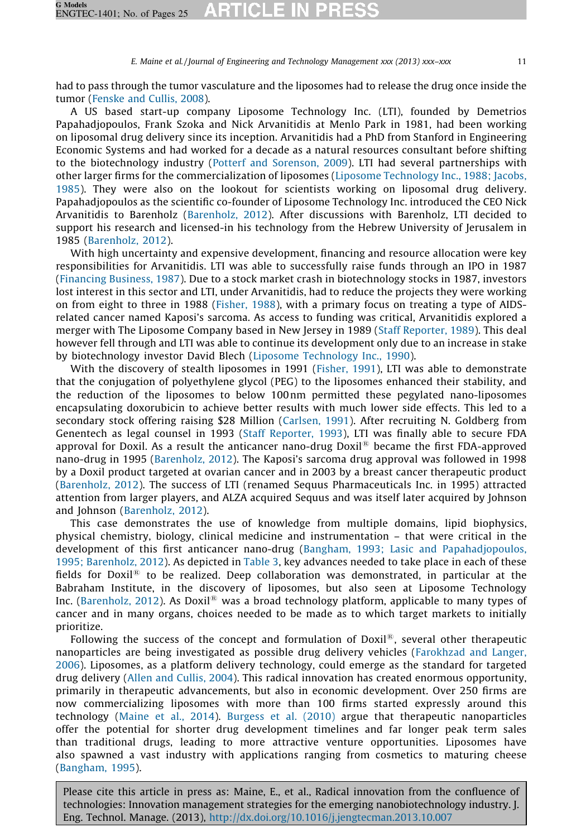had to pass through the tumor vasculature and the liposomes had to release the drug once inside the tumor ([Fenske and Cullis, 2008\)](#page-22-0).

A US based start-up company Liposome Technology Inc. (LTI), founded by Demetrios Papahadjopoulos, Frank Szoka and Nick Arvanitidis at Menlo Park in 1981, had been working on liposomal drug delivery since its inception. Arvanitidis had a PhD from Stanford in Engineering Economic Systems and had worked for a decade as a natural resources consultant before shifting to the biotechnology industry ([Potterf and Sorenson, 2009\)](#page-23-0). LTI had several partnerships with other larger firms for the commercialization of liposomes ([Liposome Technology Inc., 1988; Jacobs,](#page-22-0) [1985](#page-22-0)). They were also on the lookout for scientists working on liposomal drug delivery. Papahadjopoulos as the scientific co-founder of Liposome Technology Inc. introduced the CEO Nick Arvanitidis to Barenholz [\(Barenholz, 2012\)](#page-21-0). After discussions with Barenholz, LTI decided to support his research and licensed-in his technology from the Hebrew University of Jerusalem in 1985 [\(Barenholz, 2012\)](#page-21-0).

With high uncertainty and expensive development, financing and resource allocation were key responsibilities for Arvanitidis. LTI was able to successfully raise funds through an IPO in 1987 ([Financing Business, 1987](#page-22-0)). Due to a stock market crash in biotechnology stocks in 1987, investors lost interest in this sector and LTI, under Arvanitidis, had to reduce the projects they were working on from eight to three in 1988 ([Fisher, 1988](#page-22-0)), with a primary focus on treating a type of AIDSrelated cancer named Kaposi's sarcoma. As access to funding was critical, Arvanitidis explored a merger with The Liposome Company based in New Jersey in 1989 ([Staff Reporter, 1989\)](#page-23-0). This deal however fell through and LTI was able to continue its development only due to an increase in stake by biotechnology investor David Blech ([Liposome Technology Inc., 1990](#page-22-0)).

With the discovery of stealth liposomes in 1991 [\(Fisher, 1991\)](#page-22-0), LTI was able to demonstrate that the conjugation of polyethylene glycol (PEG) to the liposomes enhanced their stability, and the reduction of the liposomes to below 100 nm permitted these pegylated nano-liposomes encapsulating doxorubicin to achieve better results with much lower side effects. This led to a secondary stock offering raising \$28 Million ([Carlsen, 1991\)](#page-21-0). After recruiting N. Goldberg from Genentech as legal counsel in 1993 ([Staff Reporter, 1993\)](#page-23-0), LTI was finally able to secure FDA approval for Doxil. As a result the anticancer nano-drug Doxil $\mathbb{B}$  became the first FDA-approved nano-drug in 1995 [\(Barenholz, 2012](#page-21-0)). The Kaposi's sarcoma drug approval was followed in 1998 by a Doxil product targeted at ovarian cancer and in 2003 by a breast cancer therapeutic product ([Barenholz, 2012\)](#page-21-0). The success of LTI (renamed Sequus Pharmaceuticals Inc. in 1995) attracted attention from larger players, and ALZA acquired Sequus and was itself later acquired by Johnson and Johnson ([Barenholz, 2012\)](#page-21-0).

This case demonstrates the use of knowledge from multiple domains, lipid biophysics, physical chemistry, biology, clinical medicine and instrumentation – that were critical in the development of this first anticancer nano-drug ([Bangham, 1993; Lasic and Papahadjopoulos,](#page-21-0) [1995; Barenholz, 2012](#page-21-0)). As depicted in [Table 3](#page-11-0), key advances needed to take place in each of these fields for Doxil<sup>®</sup> to be realized. Deep collaboration was demonstrated, in particular at the Babraham Institute, in the discovery of liposomes, but also seen at Liposome Technology Inc. ([Barenholz, 2012](#page-21-0)). As Doxil<sup>®</sup> was a broad technology platform, applicable to many types of cancer and in many organs, choices needed to be made as to which target markets to initially prioritize.

Following the success of the concept and formulation of  $Doxil^{\circledR}$ , several other therapeutic nanoparticles are being investigated as possible drug delivery vehicles ([Farokhzad and Langer,](#page-22-0) [2006\)](#page-22-0). Liposomes, as a platform delivery technology, could emerge as the standard for targeted drug delivery ([Allen and Cullis, 2004](#page-21-0)). This radical innovation has created enormous opportunity, primarily in therapeutic advancements, but also in economic development. Over 250 firms are now commercializing liposomes with more than 100 firms started expressly around this technology ([Maine et al., 2014](#page-23-0)). [Burgess et al. \(2010\)](#page-21-0) argue that therapeutic nanoparticles offer the potential for shorter drug development timelines and far longer peak term sales than traditional drugs, leading to more attractive venture opportunities. Liposomes have also spawned a vast industry with applications ranging from cosmetics to maturing cheese ([Bangham, 1995\)](#page-21-0).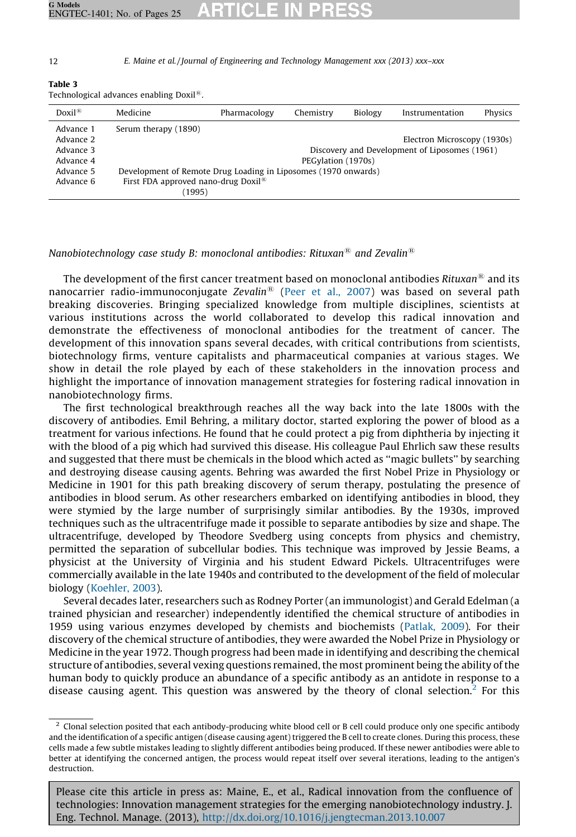<span id="page-11-0"></span>

| Table 3                                              |  |  |
|------------------------------------------------------|--|--|
| Technological advances enabling Doxil <sup>®</sup> . |  |  |

| $Doxil^{\circledR}$ | Medicine                                                       | Pharmacology | Chemistry          | Biology | Instrumentation                               | Physics |
|---------------------|----------------------------------------------------------------|--------------|--------------------|---------|-----------------------------------------------|---------|
| Advance 1           | Serum therapy (1890)                                           |              |                    |         |                                               |         |
| Advance 2           |                                                                |              |                    |         | Electron Microscopy (1930s)                   |         |
| Advance 3           |                                                                |              |                    |         | Discovery and Development of Liposomes (1961) |         |
| Advance 4           |                                                                |              | PEGylation (1970s) |         |                                               |         |
| Advance 5           | Development of Remote Drug Loading in Liposomes (1970 onwards) |              |                    |         |                                               |         |
| Advance 6           | First FDA approved nano-drug Doxil <sup>®</sup>                |              |                    |         |                                               |         |
|                     | (1995)                                                         |              |                    |         |                                               |         |

# Nanobiotechnology case study B: monoclonal antibodies: Rituxan<sup>®</sup> and Zevalin<sup>®</sup>

The development of the first cancer treatment based on monoclonal antibodies Rituxan<sup>®</sup> and its nanocarrier radio-immunoconjugate Zevalin<sup>®</sup> [\(Peer et al., 2007](#page-23-0)) was based on several path breaking discoveries. Bringing specialized knowledge from multiple disciplines, scientists at various institutions across the world collaborated to develop this radical innovation and demonstrate the effectiveness of monoclonal antibodies for the treatment of cancer. The development of this innovation spans several decades, with critical contributions from scientists, biotechnology firms, venture capitalists and pharmaceutical companies at various stages. We show in detail the role played by each of these stakeholders in the innovation process and highlight the importance of innovation management strategies for fostering radical innovation in nanobiotechnology firms.

The first technological breakthrough reaches all the way back into the late 1800s with the discovery of antibodies. Emil Behring, a military doctor, started exploring the power of blood as a treatment for various infections. He found that he could protect a pig from diphtheria by injecting it with the blood of a pig which had survived this disease. His colleague Paul Ehrlich saw these results and suggested that there must be chemicals in the blood which acted as ''magic bullets'' by searching and destroying disease causing agents. Behring was awarded the first Nobel Prize in Physiology or Medicine in 1901 for this path breaking discovery of serum therapy, postulating the presence of antibodies in blood serum. As other researchers embarked on identifying antibodies in blood, they were stymied by the large number of surprisingly similar antibodies. By the 1930s, improved techniques such as the ultracentrifuge made it possible to separate antibodies by size and shape. The ultracentrifuge, developed by Theodore Svedberg using concepts from physics and chemistry, permitted the separation of subcellular bodies. This technique was improved by Jessie Beams, a physicist at the University of Virginia and his student Edward Pickels. Ultracentrifuges were commercially available in the late 1940s and contributed to the development of the field of molecular biology ([Koehler, 2003](#page-22-0)).

Several decades later, researchers such as Rodney Porter (an immunologist) and Gerald Edelman (a trained physician and researcher) independently identified the chemical structure of antibodies in 1959 using various enzymes developed by chemists and biochemists ([Patlak, 2009\)](#page-23-0). For their discovery of the chemical structure of antibodies, they were awarded the Nobel Prize in Physiology or Medicine in the year 1972. Though progress had been made in identifying and describing the chemical structure of antibodies, several vexing questions remained, the most prominent being the ability of the human body to quickly produce an abundance of a specific antibody as an antidote in response to a disease causing agent. This question was answered by the theory of clonal selection.<sup>2</sup> For this

 $<sup>2</sup>$  Clonal selection posited that each antibody-producing white blood cell or B cell could produce only one specific antibody</sup> and the identification of a specific antigen (disease causing agent) triggered the B cell to create clones. During this process, these cells made a few subtle mistakes leading to slightly different antibodies being produced. If these newer antibodies were able to better at identifying the concerned antigen, the process would repeat itself over several iterations, leading to the antigen's destruction.

Please cite this article in press as: Maine, E., et al., Radical innovation from the confluence of technologies: Innovation management strategies for the emerging nanobiotechnology industry. J. Eng. Technol. Manage. (2013), <http://dx.doi.org/10.1016/j.jengtecman.2013.10.007>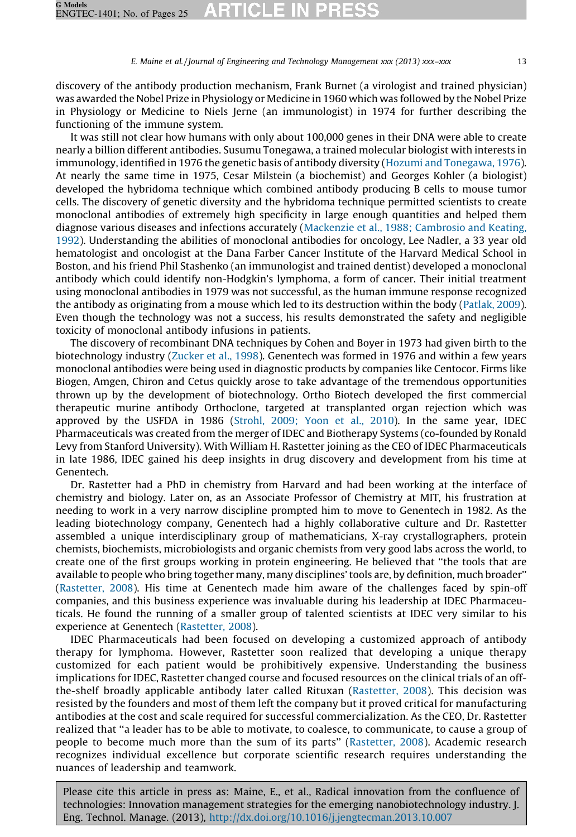discovery of the antibody production mechanism, Frank Burnet (a virologist and trained physician) was awarded the Nobel Prize in Physiology or Medicine in 1960 which was followed by the Nobel Prize in Physiology or Medicine to Niels Jerne (an immunologist) in 1974 for further describing the functioning of the immune system.

It was still not clear how humans with only about 100,000 genes in their DNA were able to create nearly a billion different antibodies. Susumu Tonegawa, a trained molecular biologist with interests in immunology, identified in 1976 the genetic basis of antibody diversity [\(Hozumi and Tonegawa, 1976\)](#page-22-0). At nearly the same time in 1975, Cesar Milstein (a biochemist) and Georges Kohler (a biologist) developed the hybridoma technique which combined antibody producing B cells to mouse tumor cells. The discovery of genetic diversity and the hybridoma technique permitted scientists to create monoclonal antibodies of extremely high specificity in large enough quantities and helped them diagnose various diseases and infections accurately ([Mackenzie et al., 1988; Cambrosio and Keating,](#page-22-0) [1992\)](#page-22-0). Understanding the abilities of monoclonal antibodies for oncology, Lee Nadler, a 33 year old hematologist and oncologist at the Dana Farber Cancer Institute of the Harvard Medical School in Boston, and his friend Phil Stashenko (an immunologist and trained dentist) developed a monoclonal antibody which could identify non-Hodgkin's lymphoma, a form of cancer. Their initial treatment using monoclonal antibodies in 1979 was not successful, as the human immune response recognized the antibody as originating from a mouse which led to its destruction within the body [\(Patlak, 2009\)](#page-23-0). Even though the technology was not a success, his results demonstrated the safety and negligible toxicity of monoclonal antibody infusions in patients.

The discovery of recombinant DNA techniques by Cohen and Boyer in 1973 had given birth to the biotechnology industry ([Zucker et al., 1998](#page-24-0)). Genentech was formed in 1976 and within a few years monoclonal antibodies were being used in diagnostic products by companies like Centocor. Firms like Biogen, Amgen, Chiron and Cetus quickly arose to take advantage of the tremendous opportunities thrown up by the development of biotechnology. Ortho Biotech developed the first commercial therapeutic murine antibody Orthoclone, targeted at transplanted organ rejection which was approved by the USFDA in 1986 [\(Strohl, 2009; Yoon et al., 2010](#page-23-0)). In the same year, IDEC Pharmaceuticals was created from the merger of IDEC and Biotherapy Systems (co-founded by Ronald Levy from Stanford University). With William H. Rastetter joining as the CEO of IDEC Pharmaceuticals in late 1986, IDEC gained his deep insights in drug discovery and development from his time at Genentech.

Dr. Rastetter had a PhD in chemistry from Harvard and had been working at the interface of chemistry and biology. Later on, as an Associate Professor of Chemistry at MIT, his frustration at needing to work in a very narrow discipline prompted him to move to Genentech in 1982. As the leading biotechnology company, Genentech had a highly collaborative culture and Dr. Rastetter assembled a unique interdisciplinary group of mathematicians, X-ray crystallographers, protein chemists, biochemists, microbiologists and organic chemists from very good labs across the world, to create one of the first groups working in protein engineering. He believed that ''the tools that are available to people who bring together many, many disciplines' tools are, by definition, much broader'' [\(Rastetter, 2008](#page-23-0)). His time at Genentech made him aware of the challenges faced by spin-off companies, and this business experience was invaluable during his leadership at IDEC Pharmaceuticals. He found the running of a smaller group of talented scientists at IDEC very similar to his experience at Genentech ([Rastetter, 2008\)](#page-23-0).

IDEC Pharmaceuticals had been focused on developing a customized approach of antibody therapy for lymphoma. However, Rastetter soon realized that developing a unique therapy customized for each patient would be prohibitively expensive. Understanding the business implications for IDEC, Rastetter changed course and focused resources on the clinical trials of an offthe-shelf broadly applicable antibody later called Rituxan ([Rastetter, 2008](#page-23-0)). This decision was resisted by the founders and most of them left the company but it proved critical for manufacturing antibodies at the cost and scale required for successful commercialization. As the CEO, Dr. Rastetter realized that ''a leader has to be able to motivate, to coalesce, to communicate, to cause a group of people to become much more than the sum of its parts'' ([Rastetter, 2008\)](#page-23-0). Academic research recognizes individual excellence but corporate scientific research requires understanding the nuances of leadership and teamwork.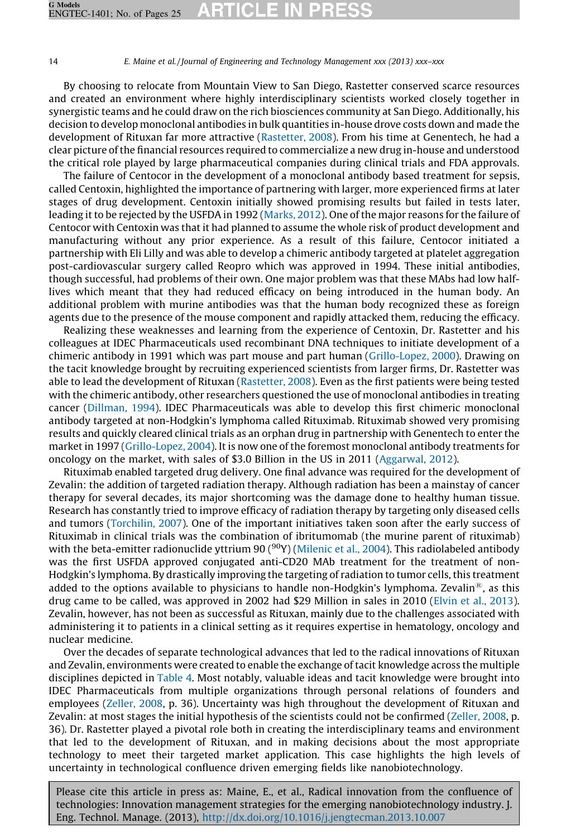By choosing to relocate from Mountain View to San Diego, Rastetter conserved scarce resources and created an environment where highly interdisciplinary scientists worked closely together in synergistic teams and he could draw on the rich biosciences community at San Diego. Additionally, his decision to develop monoclonal antibodies in bulk quantities in-house drove costs down and made the development of Rituxan far more attractive [\(Rastetter, 2008](#page-23-0)). From his time at Genentech, he had a clear picture of the financial resources required to commercialize a new drug in-house and understood the critical role played by large pharmaceutical companies during clinical trials and FDA approvals.

The failure of Centocor in the development of a monoclonal antibody based treatment for sepsis, called Centoxin, highlighted the importance of partnering with larger, more experienced firms at later stages of drug development. Centoxin initially showed promising results but failed in tests later, leading it to be rejected by the USFDA in 1992 ([Marks, 2012\)](#page-23-0). One of the major reasons for the failure of Centocor with Centoxin was that it had planned to assume the whole risk of product development and manufacturing without any prior experience. As a result of this failure, Centocor initiated a partnership with Eli Lilly and was able to develop a chimeric antibody targeted at platelet aggregation post-cardiovascular surgery called Reopro which was approved in 1994. These initial antibodies, though successful, had problems of their own. One major problem was that these MAbs had low halflives which meant that they had reduced efficacy on being introduced in the human body. An additional problem with murine antibodies was that the human body recognized these as foreign agents due to the presence of the mouse component and rapidly attacked them, reducing the efficacy.

Realizing these weaknesses and learning from the experience of Centoxin, Dr. Rastetter and his colleagues at IDEC Pharmaceuticals used recombinant DNA techniques to initiate development of a chimeric antibody in 1991 which was part mouse and part human ([Grillo-Lopez, 2000](#page-22-0)). Drawing on the tacit knowledge brought by recruiting experienced scientists from larger firms, Dr. Rastetter was able to lead the development of Rituxan ([Rastetter, 2008](#page-23-0)). Even as the first patients were being tested with the chimeric antibody, other researchers questioned the use of monoclonal antibodies in treating cancer [\(Dillman, 1994](#page-22-0)). IDEC Pharmaceuticals was able to develop this first chimeric monoclonal antibody targeted at non-Hodgkin's lymphoma called Rituximab. Rituximab showed very promising results and quickly cleared clinical trials as an orphan drug in partnership with Genentech to enter the market in 1997 ([Grillo-Lopez, 2004](#page-22-0)). It is now one of the foremost monoclonal antibody treatments for oncology on the market, with sales of \$3.0 Billion in the US in 2011 [\(Aggarwal, 2012](#page-21-0)).

Rituximab enabled targeted drug delivery. One final advance was required for the development of Zevalin: the addition of targeted radiation therapy. Although radiation has been a mainstay of cancer therapy for several decades, its major shortcoming was the damage done to healthy human tissue. Research has constantly tried to improve efficacy of radiation therapy by targeting only diseased cells and tumors [\(Torchilin, 2007\)](#page-23-0). One of the important initiatives taken soon after the early success of Rituximab in clinical trials was the combination of ibritumomab (the murine parent of rituximab) with the beta-emitter radionuclide yttrium 90 ( $90Y$ ) [\(Milenic et al., 2004\)](#page-23-0). This radiolabeled antibody was the first USFDA approved conjugated anti-CD20 MAb treatment for the treatment of non-Hodgkin's lymphoma. By drastically improving the targeting of radiation to tumor cells, this treatment added to the options available to physicians to handle non-Hodgkin's lymphoma. Zevalin<sup>®</sup>, as this drug came to be called, was approved in 2002 had \$29 Million in sales in 2010 [\(Elvin et al., 2013](#page-22-0)). Zevalin, however, has not been as successful as Rituxan, mainly due to the challenges associated with administering it to patients in a clinical setting as it requires expertise in hematology, oncology and nuclear medicine.

Over the decades of separate technological advances that led to the radical innovations of Rituxan and Zevalin, environments were created to enable the exchange of tacit knowledge across the multiple disciplines depicted in [Table 4.](#page-14-0) Most notably, valuable ideas and tacit knowledge were brought into IDEC Pharmaceuticals from multiple organizations through personal relations of founders and employees ([Zeller, 2008](#page-24-0), p. 36). Uncertainty was high throughout the development of Rituxan and Zevalin: at most stages the initial hypothesis of the scientists could not be confirmed ([Zeller, 2008](#page-24-0), p. 36). Dr. Rastetter played a pivotal role both in creating the interdisciplinary teams and environment that led to the development of Rituxan, and in making decisions about the most appropriate technology to meet their targeted market application. This case highlights the high levels of uncertainty in technological confluence driven emerging fields like nanobiotechnology.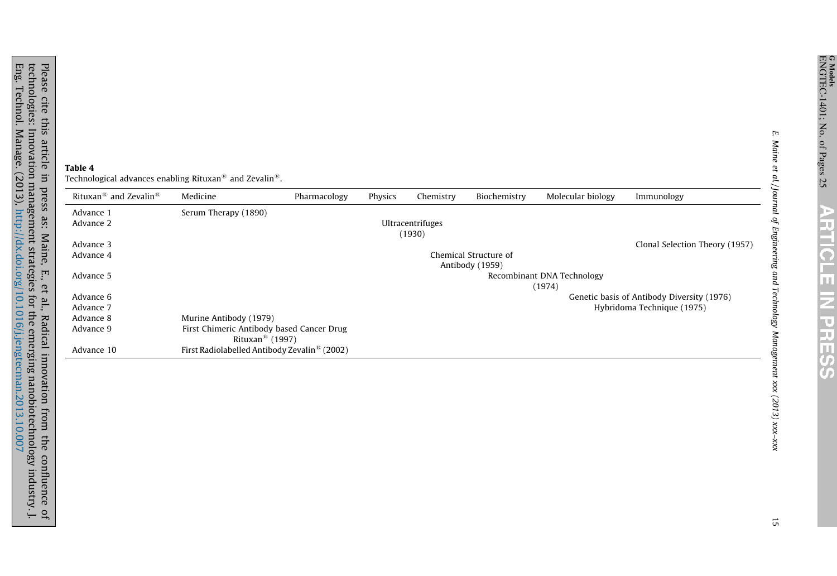ENGTEC-1401; No. of Pages 25 G Models<br>ENGTEC-1401; No. of Pages 25

**ARTICLI** 

m<br>=

N<br>PRESS

Ğ

# <span id="page-14-0"></span>Table 4

Technological advances enabling Rituxan $^\circledR$  and Zevalin $^\circledR$ .

| Rituxan <sup>®</sup> and Zevalin <sup>®</sup> | Medicine                                                 | Pharmacology | Physics | Chemistry        | Biochemistry          | Molecular biology          | Immunology                                 |
|-----------------------------------------------|----------------------------------------------------------|--------------|---------|------------------|-----------------------|----------------------------|--------------------------------------------|
| Advance 1                                     | Serum Therapy (1890)                                     |              |         |                  |                       |                            |                                            |
| Advance 2                                     |                                                          |              |         | Ultracentrifuges |                       |                            |                                            |
|                                               |                                                          |              |         | (1930)           |                       |                            |                                            |
| Advance 3                                     |                                                          |              |         |                  |                       |                            | Clonal Selection Theory (1957)             |
| Advance 4                                     |                                                          |              |         |                  | Chemical Structure of |                            |                                            |
|                                               |                                                          |              |         |                  | Antibody (1959)       |                            |                                            |
| Advance 5                                     |                                                          |              |         |                  |                       | Recombinant DNA Technology |                                            |
|                                               |                                                          |              |         |                  |                       | (1974)                     |                                            |
| Advance 6                                     |                                                          |              |         |                  |                       |                            | Genetic basis of Antibody Diversity (1976) |
| Advance 7                                     |                                                          |              |         |                  |                       |                            | Hybridoma Technique (1975)                 |
| Advance 8                                     | Murine Antibody (1979)                                   |              |         |                  |                       |                            |                                            |
| Advance 9                                     | First Chimeric Antibody based Cancer Drug                |              |         |                  |                       |                            |                                            |
|                                               | Rituxan <sup>®</sup> (1997)                              |              |         |                  |                       |                            |                                            |
| Advance 10                                    | First Radiolabelled Antibody Zevalin <sup>®</sup> (2002) |              |         |                  |                       |                            |                                            |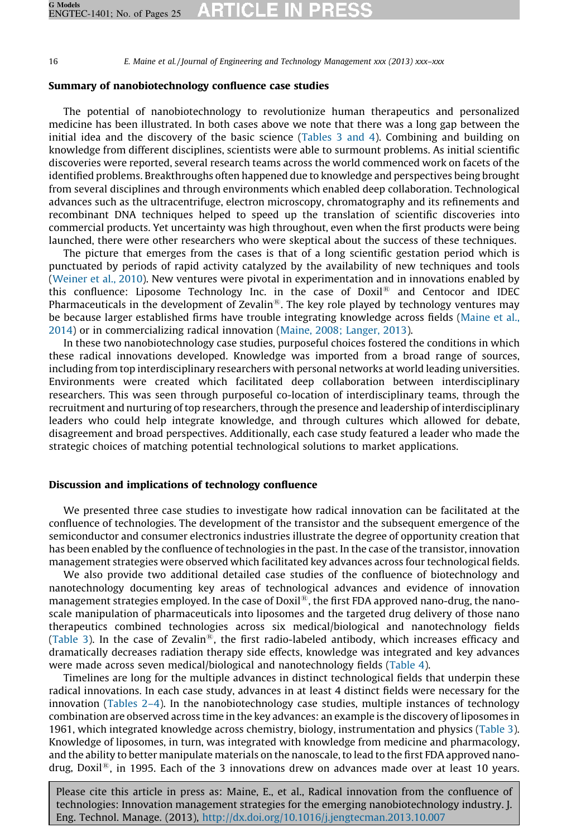# Summary of nanobiotechnology confluence case studies

The potential of nanobiotechnology to revolutionize human therapeutics and personalized medicine has been illustrated. In both cases above we note that there was a long gap between the initial idea and the discovery of the basic science [\(Tables 3 and 4\)](#page-11-0). Combining and building on knowledge from different disciplines, scientists were able to surmount problems. As initial scientific discoveries were reported, several research teams across the world commenced work on facets of the identified problems. Breakthroughs often happened due to knowledge and perspectives being brought from several disciplines and through environments which enabled deep collaboration. Technological advances such as the ultracentrifuge, electron microscopy, chromatography and its refinements and recombinant DNA techniques helped to speed up the translation of scientific discoveries into commercial products. Yet uncertainty was high throughout, even when the first products were being launched, there were other researchers who were skeptical about the success of these techniques.

The picture that emerges from the cases is that of a long scientific gestation period which is punctuated by periods of rapid activity catalyzed by the availability of new techniques and tools ([Weiner et al., 2010\)](#page-24-0). New ventures were pivotal in experimentation and in innovations enabled by this confluence: Liposome Technology Inc. in the case of  $Doxil^{\circledR}$  and Centocor and IDEC Pharmaceuticals in the development of Zevalin<sup>®</sup>. The key role played by technology ventures may be because larger established firms have trouble integrating knowledge across fields [\(Maine et al.,](#page-23-0) [2014\)](#page-23-0) or in commercializing radical innovation ([Maine, 2008; Langer, 2013\)](#page-22-0).

In these two nanobiotechnology case studies, purposeful choices fostered the conditions in which these radical innovations developed. Knowledge was imported from a broad range of sources, including from top interdisciplinary researchers with personal networks at world leading universities. Environments were created which facilitated deep collaboration between interdisciplinary researchers. This was seen through purposeful co-location of interdisciplinary teams, through the recruitment and nurturing of top researchers, through the presence and leadership of interdisciplinary leaders who could help integrate knowledge, and through cultures which allowed for debate, disagreement and broad perspectives. Additionally, each case study featured a leader who made the strategic choices of matching potential technological solutions to market applications.

# Discussion and implications of technology confluence

We presented three case studies to investigate how radical innovation can be facilitated at the confluence of technologies. The development of the transistor and the subsequent emergence of the semiconductor and consumer electronics industries illustrate the degree of opportunity creation that has been enabled by the confluence of technologies in the past. In the case of the transistor, innovation management strategies were observed which facilitated key advances across four technological fields.

We also provide two additional detailed case studies of the confluence of biotechnology and nanotechnology documenting key areas of technological advances and evidence of innovation management strategies employed. In the case of Doxil<sup>®</sup>, the first FDA approved nano-drug, the nanoscale manipulation of pharmaceuticals into liposomes and the targeted drug delivery of those nano therapeutics combined technologies across six medical/biological and nanotechnology fields ([Table 3\)](#page-11-0). In the case of Zevalin<sup>®</sup>, the first radio-labeled antibody, which increases efficacy and dramatically decreases radiation therapy side effects, knowledge was integrated and key advances were made across seven medical/biological and nanotechnology fields ([Table 4\)](#page-14-0).

Timelines are long for the multiple advances in distinct technological fields that underpin these radical innovations. In each case study, advances in at least 4 distinct fields were necessary for the innovation [\(Tables 2–4\)](#page-7-0). In the nanobiotechnology case studies, multiple instances of technology combination are observed across time in the key advances: an example is the discovery of liposomes in 1961, which integrated knowledge across chemistry, biology, instrumentation and physics ([Table 3](#page-11-0)). Knowledge of liposomes, in turn, was integrated with knowledge from medicine and pharmacology, and the ability to better manipulate materials on the nanoscale, to lead to the first FDA approved nanodrug, Doxil<sup>®</sup>, in 1995. Each of the 3 innovations drew on advances made over at least 10 years.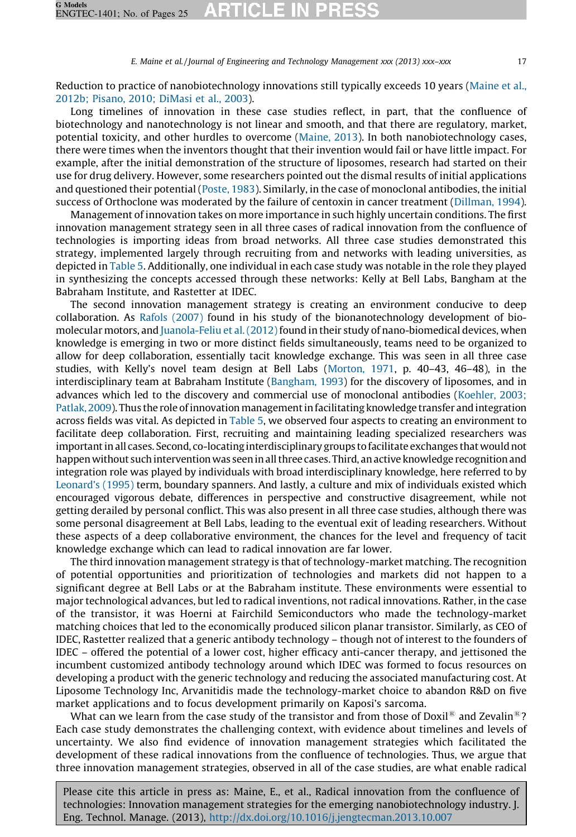Reduction to practice of nanobiotechnology innovations still typically exceeds 10 years ([Maine et al.,](#page-23-0) [2012b; Pisano, 2010; DiMasi et al., 2003\)](#page-23-0).

Long timelines of innovation in these case studies reflect, in part, that the confluence of biotechnology and nanotechnology is not linear and smooth, and that there are regulatory, market, potential toxicity, and other hurdles to overcome ([Maine, 2013\)](#page-22-0). In both nanobiotechnology cases, there were times when the inventors thought that their invention would fail or have little impact. For example, after the initial demonstration of the structure of liposomes, research had started on their use for drug delivery. However, some researchers pointed out the dismal results of initial applications and questioned their potential [\(Poste, 1983](#page-23-0)). Similarly, in the case of monoclonal antibodies, the initial success of Orthoclone was moderated by the failure of centoxin in cancer treatment [\(Dillman, 1994\)](#page-22-0).

Management of innovation takes on more importance in such highly uncertain conditions. The first innovation management strategy seen in all three cases of radical innovation from the confluence of technologies is importing ideas from broad networks. All three case studies demonstrated this strategy, implemented largely through recruiting from and networks with leading universities, as depicted in [Table 5](#page-17-0). Additionally, one individual in each case study was notable in the role they played in synthesizing the concepts accessed through these networks: Kelly at Bell Labs, Bangham at the Babraham Institute, and Rastetter at IDEC.

The second innovation management strategy is creating an environment conducive to deep collaboration. As [Rafols \(2007\)](#page-23-0) found in his study of the bionanotechnology development of bio-molecular motors, and [Juanola-Feliu et al. \(2012\)](#page-22-0) found in their study of nano-biomedical devices, when knowledge is emerging in two or more distinct fields simultaneously, teams need to be organized to allow for deep collaboration, essentially tacit knowledge exchange. This was seen in all three case studies, with Kelly's novel team design at Bell Labs [\(Morton, 1971](#page-23-0), p. 40–43, 46–48), in the interdisciplinary team at Babraham Institute [\(Bangham, 1993](#page-21-0)) for the discovery of liposomes, and in advances which led to the discovery and commercial use of monoclonal antibodies [\(Koehler, 2003;](#page-22-0) [Patlak, 2009](#page-22-0)). Thus the role of innovation management in facilitating knowledge transfer and integration across fields was vital. As depicted in [Table 5,](#page-17-0) we observed four aspects to creating an environment to facilitate deep collaboration. First, recruiting and maintaining leading specialized researchers was important in all cases. Second, co-locating interdisciplinary groups to facilitate exchanges that would not happen without such intervention was seen in all three cases. Third, an active knowledge recognition and integration role was played by individuals with broad interdisciplinary knowledge, here referred to by [Leonard's \(1995\)](#page-22-0) term, boundary spanners. And lastly, a culture and mix of individuals existed which encouraged vigorous debate, differences in perspective and constructive disagreement, while not getting derailed by personal conflict. This was also present in all three case studies, although there was some personal disagreement at Bell Labs, leading to the eventual exit of leading researchers. Without these aspects of a deep collaborative environment, the chances for the level and frequency of tacit knowledge exchange which can lead to radical innovation are far lower.

The third innovation management strategy is that of technology-market matching. The recognition of potential opportunities and prioritization of technologies and markets did not happen to a significant degree at Bell Labs or at the Babraham institute. These environments were essential to major technological advances, but led to radical inventions, not radical innovations. Rather, in the case of the transistor, it was Hoerni at Fairchild Semiconductors who made the technology-market matching choices that led to the economically produced silicon planar transistor. Similarly, as CEO of IDEC, Rastetter realized that a generic antibody technology – though not of interest to the founders of IDEC – offered the potential of a lower cost, higher efficacy anti-cancer therapy, and jettisoned the incumbent customized antibody technology around which IDEC was formed to focus resources on developing a product with the generic technology and reducing the associated manufacturing cost. At Liposome Technology Inc, Arvanitidis made the technology-market choice to abandon R&D on five market applications and to focus development primarily on Kaposi's sarcoma.

What can we learn from the case study of the transistor and from those of Doxil<sup>®</sup> and Zevalin<sup>®</sup>? Each case study demonstrates the challenging context, with evidence about timelines and levels of uncertainty. We also find evidence of innovation management strategies which facilitated the development of these radical innovations from the confluence of technologies. Thus, we argue that three innovation management strategies, observed in all of the case studies, are what enable radical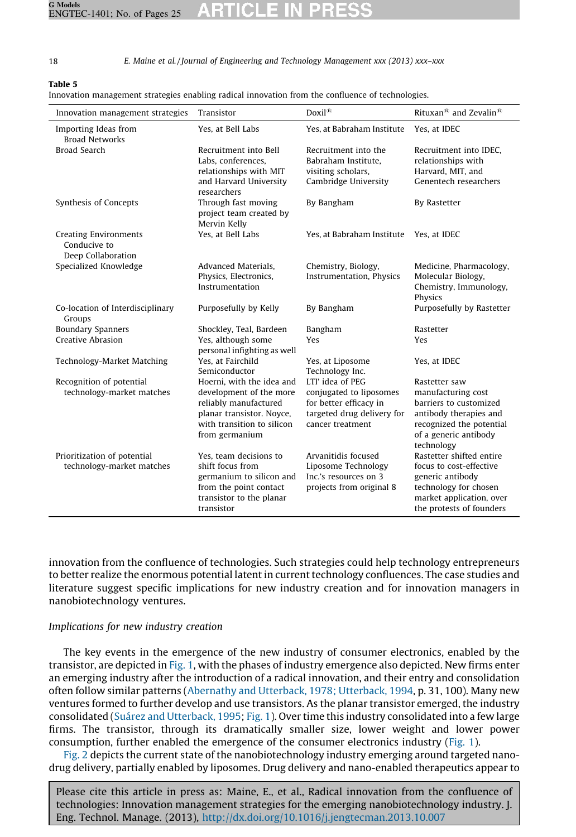#### <span id="page-17-0"></span>Table 5

Innovation management strategies enabling radical innovation from the confluence of technologies.

| Innovation management strategies                                   | Transistor                                                                                                                                                 | Doxil®                                                                                                                  | Rituxan <sup>®</sup> and Zevalin <sup>®</sup>                                                                                                              |
|--------------------------------------------------------------------|------------------------------------------------------------------------------------------------------------------------------------------------------------|-------------------------------------------------------------------------------------------------------------------------|------------------------------------------------------------------------------------------------------------------------------------------------------------|
| Importing Ideas from<br><b>Broad Networks</b>                      | Yes, at Bell Labs                                                                                                                                          | Yes, at Babraham Institute                                                                                              | Yes, at IDEC                                                                                                                                               |
| Broad Search                                                       | Recruitment into Bell<br>Labs, conferences,<br>relationships with MIT<br>and Harvard University<br>researchers                                             | Recruitment into the<br>Babraham Institute.<br>visiting scholars,<br>Cambridge University                               | Recruitment into IDEC.<br>relationships with<br>Harvard, MIT, and<br>Genentech researchers                                                                 |
| Synthesis of Concepts                                              | Through fast moving<br>project team created by<br>Mervin Kelly                                                                                             | By Bangham                                                                                                              | By Rastetter                                                                                                                                               |
| <b>Creating Environments</b><br>Conducive to<br>Deep Collaboration | Yes, at Bell Labs                                                                                                                                          | Yes, at Babraham Institute                                                                                              | Yes, at IDEC                                                                                                                                               |
| Specialized Knowledge                                              | Advanced Materials,<br>Physics, Electronics,<br>Instrumentation                                                                                            | Chemistry, Biology,<br>Instrumentation, Physics                                                                         | Medicine, Pharmacology,<br>Molecular Biology,<br>Chemistry, Immunology,<br>Physics                                                                         |
| Co-location of Interdisciplinary<br>Groups                         | Purposefully by Kelly                                                                                                                                      | By Bangham                                                                                                              | Purposefully by Rastetter                                                                                                                                  |
| <b>Boundary Spanners</b><br>Creative Abrasion                      | Shockley, Teal, Bardeen<br>Yes, although some<br>personal infighting as well                                                                               | Bangham<br>Yes                                                                                                          | Rastetter<br>Yes                                                                                                                                           |
| Technology-Market Matching                                         | Yes, at Fairchild<br>Semiconductor                                                                                                                         | Yes, at Liposome<br>Technology Inc.                                                                                     | Yes, at IDEC                                                                                                                                               |
| Recognition of potential<br>technology-market matches              | Hoerni, with the idea and<br>development of the more<br>reliably manufactured<br>planar transistor. Noyce,<br>with transition to silicon<br>from germanium | LTI' idea of PEG<br>conjugated to liposomes<br>for better efficacy in<br>targeted drug delivery for<br>cancer treatment | Rastetter saw<br>manufacturing cost<br>barriers to customized<br>antibody therapies and<br>recognized the potential<br>of a generic antibody<br>technology |
| Prioritization of potential<br>technology-market matches           | Yes, team decisions to<br>shift focus from<br>germanium to silicon and<br>from the point contact<br>transistor to the planar<br>transistor                 | Arvanitidis focused<br>Liposome Technology<br>Inc.'s resources on 3<br>projects from original 8                         | Rastetter shifted entire<br>focus to cost-effective<br>generic antibody<br>technology for chosen<br>market application, over<br>the protests of founders   |

innovation from the confluence of technologies. Such strategies could help technology entrepreneurs to better realize the enormous potential latent in current technology confluences. The case studies and literature suggest specific implications for new industry creation and for innovation managers in nanobiotechnology ventures.

# Implications for new industry creation

The key events in the emergence of the new industry of consumer electronics, enabled by the transistor, are depicted in [Fig. 1](#page-18-0), with the phases of industry emergence also depicted. New firms enter an emerging industry after the introduction of a radical innovation, and their entry and consolidation often follow similar patterns [\(Abernathy and Utterback, 1978; Utterback, 1994,](#page-21-0) p. 31, 100). Many new ventures formed to further develop and use transistors. As the planar transistor emerged, the industry consolidated (Suá[rez and Utterback, 1995;](#page-23-0) [Fig. 1\)](#page-18-0). Over time this industry consolidated into a few large firms. The transistor, through its dramatically smaller size, lower weight and lower power consumption, further enabled the emergence of the consumer electronics industry ([Fig. 1\)](#page-18-0).

[Fig. 2](#page-18-0) depicts the current state of the nanobiotechnology industry emerging around targeted nanodrug delivery, partially enabled by liposomes. Drug delivery and nano-enabled therapeutics appear to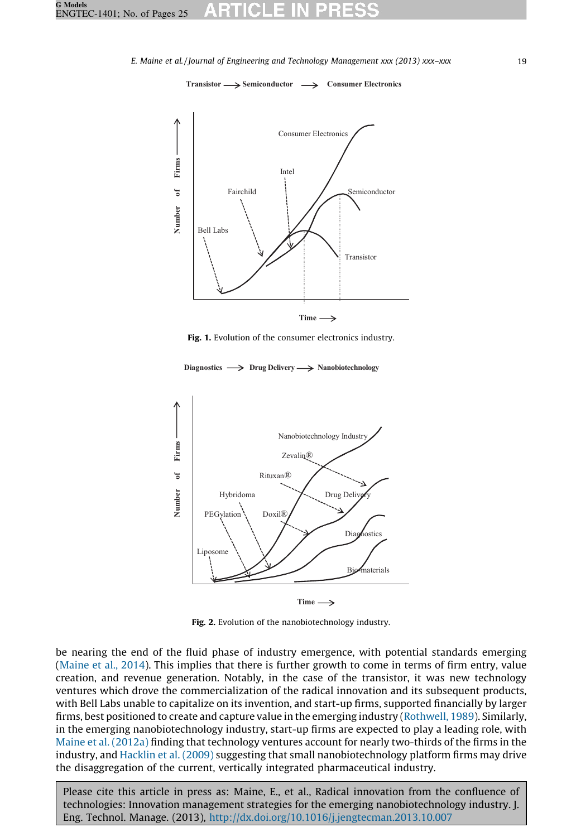**Transistor Semiconductor Consumer Electronics**

<span id="page-18-0"></span>



Diagnostics  $\longrightarrow$  Drug Delivery  $\longrightarrow$  Nanobiotechnology



Fig. 2. Evolution of the nanobiotechnology industry.

be nearing the end of the fluid phase of industry emergence, with potential standards emerging [\(Maine et al., 2014\)](#page-23-0). This implies that there is further growth to come in terms of firm entry, value creation, and revenue generation. Notably, in the case of the transistor, it was new technology ventures which drove the commercialization of the radical innovation and its subsequent products, with Bell Labs unable to capitalize on its invention, and start-up firms, supported financially by larger firms, best positioned to create and capture value in the emerging industry [\(Rothwell, 1989](#page-23-0)). Similarly, in the emerging nanobiotechnology industry, start-up firms are expected to play a leading role, with [Maine et al. \(2012a\)](#page-22-0) finding that technology ventures account for nearly two-thirds of the firms in the industry, and [Hacklin et al. \(2009\)](#page-22-0) suggesting that small nanobiotechnology platform firms may drive the disaggregation of the current, vertically integrated pharmaceutical industry.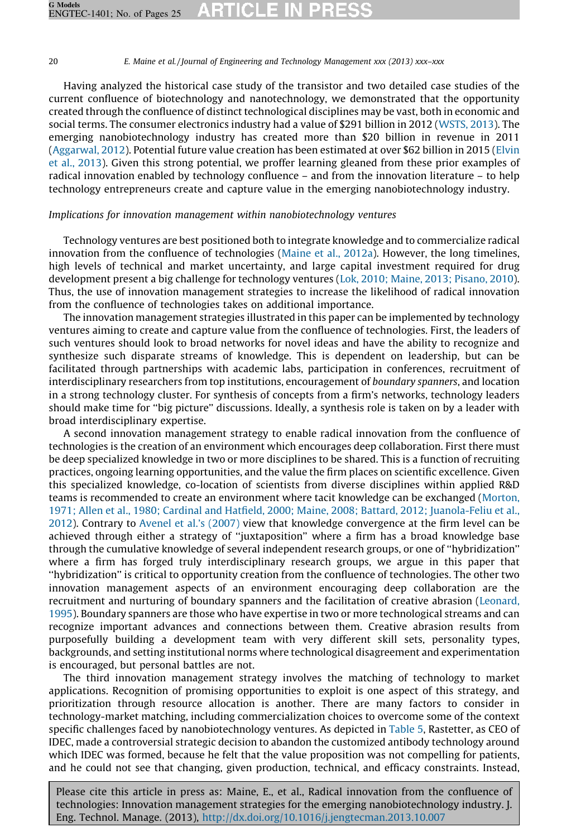Having analyzed the historical case study of the transistor and two detailed case studies of the current confluence of biotechnology and nanotechnology, we demonstrated that the opportunity created through the confluence of distinct technological disciplines may be vast, both in economic and social terms. The consumer electronics industry had a value of \$291 billion in 2012 ([WSTS, 2013](#page-24-0)). The emerging nanobiotechnology industry has created more than \$20 billion in revenue in 2011 ([Aggarwal, 2012\)](#page-21-0). Potential future value creation has been estimated at over \$62 billion in 2015 [\(Elvin](#page-22-0) [et al., 2013\)](#page-22-0). Given this strong potential, we proffer learning gleaned from these prior examples of radical innovation enabled by technology confluence – and from the innovation literature – to help technology entrepreneurs create and capture value in the emerging nanobiotechnology industry.

# Implications for innovation management within nanobiotechnology ventures

Technology ventures are best positioned both to integrate knowledge and to commercialize radical innovation from the confluence of technologies ([Maine et al., 2012a\)](#page-22-0). However, the long timelines, high levels of technical and market uncertainty, and large capital investment required for drug development present a big challenge for technology ventures [\(Lok, 2010; Maine, 2013; Pisano, 2010](#page-22-0)). Thus, the use of innovation management strategies to increase the likelihood of radical innovation from the confluence of technologies takes on additional importance.

The innovation management strategies illustrated in this paper can be implemented by technology ventures aiming to create and capture value from the confluence of technologies. First, the leaders of such ventures should look to broad networks for novel ideas and have the ability to recognize and synthesize such disparate streams of knowledge. This is dependent on leadership, but can be facilitated through partnerships with academic labs, participation in conferences, recruitment of interdisciplinary researchers from top institutions, encouragement of boundary spanners, and location in a strong technology cluster. For synthesis of concepts from a firm's networks, technology leaders should make time for ''big picture'' discussions. Ideally, a synthesis role is taken on by a leader with broad interdisciplinary expertise.

A second innovation management strategy to enable radical innovation from the confluence of technologies is the creation of an environment which encourages deep collaboration. First there must be deep specialized knowledge in two or more disciplines to be shared. This is a function of recruiting practices, ongoing learning opportunities, and the value the firm places on scientific excellence. Given this specialized knowledge, co-location of scientists from diverse disciplines within applied R&D teams is recommended to create an environment where tacit knowledge can be exchanged ([Morton,](#page-23-0) [1971; Allen et al., 1980; Cardinal and Hatfield, 2000; Maine, 2008; Battard, 2012; Juanola-Feliu et al.,](#page-23-0) [2012\)](#page-23-0). Contrary to [Avenel et al.'s \(2007\)](#page-21-0) view that knowledge convergence at the firm level can be achieved through either a strategy of ''juxtaposition'' where a firm has a broad knowledge base through the cumulative knowledge of several independent research groups, or one of ''hybridization'' where a firm has forged truly interdisciplinary research groups, we argue in this paper that ''hybridization'' is critical to opportunity creation from the confluence of technologies. The other two innovation management aspects of an environment encouraging deep collaboration are the recruitment and nurturing of boundary spanners and the facilitation of creative abrasion ([Leonard,](#page-22-0) [1995](#page-22-0)). Boundary spanners are those who have expertise in two or more technological streams and can recognize important advances and connections between them. Creative abrasion results from purposefully building a development team with very different skill sets, personality types, backgrounds, and setting institutional norms where technological disagreement and experimentation is encouraged, but personal battles are not.

The third innovation management strategy involves the matching of technology to market applications. Recognition of promising opportunities to exploit is one aspect of this strategy, and prioritization through resource allocation is another. There are many factors to consider in technology-market matching, including commercialization choices to overcome some of the context specific challenges faced by nanobiotechnology ventures. As depicted in [Table 5](#page-17-0), Rastetter, as CEO of IDEC, made a controversial strategic decision to abandon the customized antibody technology around which IDEC was formed, because he felt that the value proposition was not compelling for patients, and he could not see that changing, given production, technical, and efficacy constraints. Instead,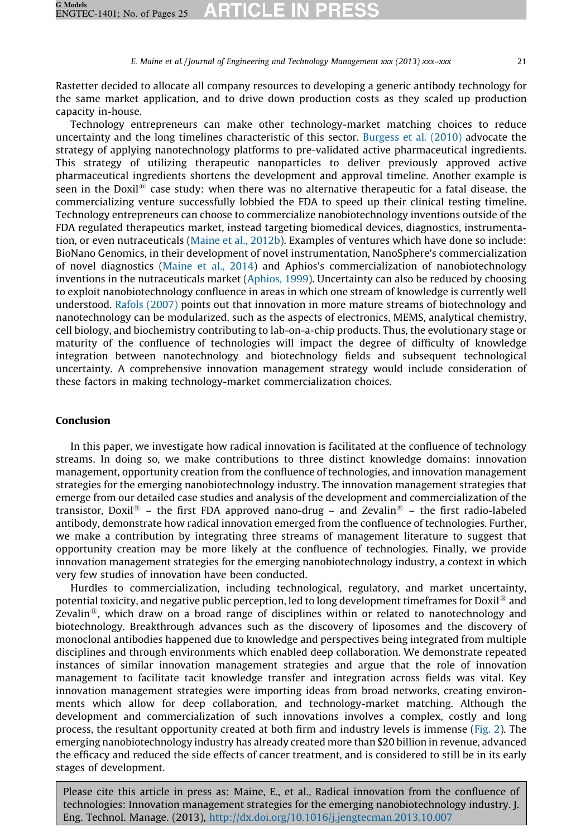Rastetter decided to allocate all company resources to developing a generic antibody technology for the same market application, and to drive down production costs as they scaled up production capacity in-house.

Technology entrepreneurs can make other technology-market matching choices to reduce uncertainty and the long timelines characteristic of this sector. [Burgess et al. \(2010\)](#page-21-0) advocate the strategy of applying nanotechnology platforms to pre-validated active pharmaceutical ingredients. This strategy of utilizing therapeutic nanoparticles to deliver previously approved active pharmaceutical ingredients shortens the development and approval timeline. Another example is seen in the Doxil<sup>®</sup> case study: when there was no alternative therapeutic for a fatal disease, the commercializing venture successfully lobbied the FDA to speed up their clinical testing timeline. Technology entrepreneurs can choose to commercialize nanobiotechnology inventions outside of the FDA regulated therapeutics market, instead targeting biomedical devices, diagnostics, instrumentation, or even nutraceuticals ([Maine et al., 2012b\)](#page-23-0). Examples of ventures which have done so include: BioNano Genomics, in their development of novel instrumentation, NanoSphere's commercialization of novel diagnostics [\(Maine et al., 2014](#page-23-0)) and Aphios's commercialization of nanobiotechnology inventions in the nutraceuticals market [\(Aphios, 1999\)](#page-21-0). Uncertainty can also be reduced by choosing to exploit nanobiotechnology confluence in areas in which one stream of knowledge is currently well understood. [Rafols \(2007\)](#page-23-0) points out that innovation in more mature streams of biotechnology and nanotechnology can be modularized, such as the aspects of electronics, MEMS, analytical chemistry, cell biology, and biochemistry contributing to lab-on-a-chip products. Thus, the evolutionary stage or maturity of the confluence of technologies will impact the degree of difficulty of knowledge integration between nanotechnology and biotechnology fields and subsequent technological uncertainty. A comprehensive innovation management strategy would include consideration of these factors in making technology-market commercialization choices.

# Conclusion

In this paper, we investigate how radical innovation is facilitated at the confluence of technology streams. In doing so, we make contributions to three distinct knowledge domains: innovation management, opportunity creation from the confluence of technologies, and innovation management strategies for the emerging nanobiotechnology industry. The innovation management strategies that emerge from our detailed case studies and analysis of the development and commercialization of the transistor, Doxil<sup>®</sup> – the first FDA approved nano-drug – and Zevalin<sup>®</sup> – the first radio-labeled antibody, demonstrate how radical innovation emerged from the confluence of technologies. Further, we make a contribution by integrating three streams of management literature to suggest that opportunity creation may be more likely at the confluence of technologies. Finally, we provide innovation management strategies for the emerging nanobiotechnology industry, a context in which very few studies of innovation have been conducted.

Hurdles to commercialization, including technological, regulatory, and market uncertainty, potential toxicity, and negative public perception, led to long development timeframes for Doxil<sup>®</sup> and Zevalin<sup>®</sup>, which draw on a broad range of disciplines within or related to nanotechnology and biotechnology. Breakthrough advances such as the discovery of liposomes and the discovery of monoclonal antibodies happened due to knowledge and perspectives being integrated from multiple disciplines and through environments which enabled deep collaboration. We demonstrate repeated instances of similar innovation management strategies and argue that the role of innovation management to facilitate tacit knowledge transfer and integration across fields was vital. Key innovation management strategies were importing ideas from broad networks, creating environments which allow for deep collaboration, and technology-market matching. Although the development and commercialization of such innovations involves a complex, costly and long process, the resultant opportunity created at both firm and industry levels is immense ([Fig. 2](#page-18-0)). The emerging nanobiotechnology industry has already created more than \$20 billion in revenue, advanced the efficacy and reduced the side effects of cancer treatment, and is considered to still be in its early stages of development.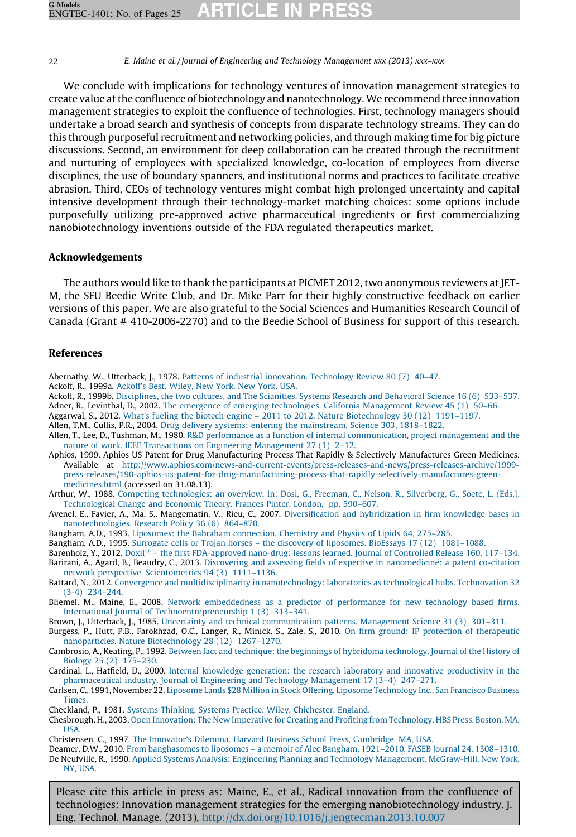<span id="page-21-0"></span>We conclude with implications for technology ventures of innovation management strategies to create value at the confluence of biotechnology and nanotechnology. We recommend three innovation management strategies to exploit the confluence of technologies. First, technology managers should undertake a broad search and synthesis of concepts from disparate technology streams. They can do this through purposeful recruitment and networking policies, and through making time for big picture discussions. Second, an environment for deep collaboration can be created through the recruitment and nurturing of employees with specialized knowledge, co-location of employees from diverse disciplines, the use of boundary spanners, and institutional norms and practices to facilitate creative abrasion. Third, CEOs of technology ventures might combat high prolonged uncertainty and capital intensive development through their technology-market matching choices: some options include purposefully utilizing pre-approved active pharmaceutical ingredients or first commercializing nanobiotechnology inventions outside of the FDA regulated therapeutics market.

# Acknowledgements

The authors would like to thank the participants at PICMET 2012, two anonymous reviewers at JET-M, the SFU Beedie Write Club, and Dr. Mike Parr for their highly constructive feedback on earlier versions of this paper. We are also grateful to the Social Sciences and Humanities Research Council of Canada (Grant # 410-2006-2270) and to the Beedie School of Business for support of this research.

### References

- Abernathy, W., Utterback, J., 1978. [Patterns of industrial innovation. Technology Review 80 \(7\) 40–47](http://refhub.elsevier.com/S0923-4748(13)00077-5/sbref0005).
- Ackoff, R., 1999a. [Ackoff's Best. Wiley, New York, New York, USA](http://refhub.elsevier.com/S0923-4748(13)00077-5/sbref0010).
- Ackoff, R., 1999b. [Disciplines, the two cultures, and The Scianities. Systems Research and Behavioral Science 16 \(6\) 533–537.](http://refhub.elsevier.com/S0923-4748(13)00077-5/sbref0015)
- Adner, R., Levinthal, D., 2002. [The emergence of emerging technologies. California Management Review 45 \(1\) 50–66](http://refhub.elsevier.com/S0923-4748(13)00077-5/sbref0020). Aggarwal, S., 2012. [What's fueling the biotech engine – 2011 to 2012. Nature Biotechnology 30 \(12\) 1191–1197.](http://refhub.elsevier.com/S0923-4748(13)00077-5/sbref0025)
- Allen, T.M., Cullis, P.R., 2004. [Drug delivery systems: entering the mainstream. Science 303, 1818–1822.](http://refhub.elsevier.com/S0923-4748(13)00077-5/sbref0030)
- Allen, T., Lee, D., Tushman, M., 1980. [R&D performance as a function of internal communication, project management and the](http://refhub.elsevier.com/S0923-4748(13)00077-5/sbref0035) [nature of work. IEEE Transactions on Engineering Management 27 \(1\) 2–12.](http://refhub.elsevier.com/S0923-4748(13)00077-5/sbref0035)
- Aphios, 1999. Aphios US Patent for Drug Manufacturing Process That Rapidly & Selectively Manufactures Green Medicines. Available at [http://www.aphios.com/news-and-current-events/press-releases-and-news/press-releases-archive/1999](http://www.aphios.com/news-and-current-events/press-releases-and-news/press-releases-archive/1999-press-releases/190-aphios-us-patent-for-drug-manufacturing-process-that-rapidly-selectively-manufactures-green-medicines.html) [press-releases/190-aphios-us-patent-for-drug-manufacturing-process-that-rapidly-selectively-manufactures-green](http://www.aphios.com/news-and-current-events/press-releases-and-news/press-releases-archive/1999-press-releases/190-aphios-us-patent-for-drug-manufacturing-process-that-rapidly-selectively-manufactures-green-medicines.html)[medicines.html](http://www.aphios.com/news-and-current-events/press-releases-and-news/press-releases-archive/1999-press-releases/190-aphios-us-patent-for-drug-manufacturing-process-that-rapidly-selectively-manufactures-green-medicines.html) (accessed on 31.08.13).
- Arthur, W., 1988. [Competing technologies: an overview. In: Dosi, G., Freeman, C., Nelson, R., Silverberg, G., Soete, L. \(Eds.\),](http://refhub.elsevier.com/S0923-4748(13)00077-5/sbref0045) [Technological Change and Economic Theory. Frances Pinter, London, pp. 590–607.](http://refhub.elsevier.com/S0923-4748(13)00077-5/sbref0045)
- Avenel, E., Favier, A., Ma, S., Mangematin, V., Rieu, C., 2007. [Diversification and hybridization in firm knowledge bases in](http://refhub.elsevier.com/S0923-4748(13)00077-5/sbref0050) [nanotechnologies. Research Policy 36 \(6\) 864–870](http://refhub.elsevier.com/S0923-4748(13)00077-5/sbref0050).
- Bangham, A.D., 1993. [Liposomes: the Babraham connection. Chemistry and Physics of Lipids 64, 275–285](http://refhub.elsevier.com/S0923-4748(13)00077-5/sbref0055).
- Bangham, A.D., 1995. [Surrogate cells or Trojan horses the discovery of liposomes. BioEssays 17 \(12\) 1081–1088](http://refhub.elsevier.com/S0923-4748(13)00077-5/sbref0060).
- Barenholz, Y., 2012. [Doxil](http://refhub.elsevier.com/S0923-4748(13)00077-5/sbref0065)<sup>®</sup>  [the first FDA-approved nano-drug: lessons learned. Journal of Controlled Release 160, 117–134.](http://refhub.elsevier.com/S0923-4748(13)00077-5/sbref0065) Barirani, A., Agard, B., Beaudry, C., 2013. [Discovering and assessing fields of expertise in nanomedicine: a patent co-citation](http://refhub.elsevier.com/S0923-4748(13)00077-5/sbref0070) [network perspective. Scientometrics 94 \(3\) 1111–1136.](http://refhub.elsevier.com/S0923-4748(13)00077-5/sbref0070)
- Battard, N., 2012. [Convergence and multidisciplinarity in nanotechnology: laboratories as technological hubs. Technovation 32](http://refhub.elsevier.com/S0923-4748(13)00077-5/sbref0075) [\(3-4\) 234–244](http://refhub.elsevier.com/S0923-4748(13)00077-5/sbref0075).
- Bliemel, M., Maine, E., 2008. [Network embeddedness as a predictor of performance for new technology based firms.](http://refhub.elsevier.com/S0923-4748(13)00077-5/sbref0080) [International Journal of Technoentrepreneurship 1 \(3\) 313–341.](http://refhub.elsevier.com/S0923-4748(13)00077-5/sbref0080)
- Brown, J., Utterback, J., 1985. [Uncertainty and technical communication patterns. Management Science 31 \(3\) 301–311](http://refhub.elsevier.com/S0923-4748(13)00077-5/sbref0085).
- Burgess, P., Hutt, P.B., Farokhzad, O.C., Langer, R., Minick, S., Zale, S., 2010. [On firm ground: IP protection of therapeutic](http://refhub.elsevier.com/S0923-4748(13)00077-5/sbref0090) [nanoparticles. Nature Biotechnology 28 \(12\) 1267–1270.](http://refhub.elsevier.com/S0923-4748(13)00077-5/sbref0090)
- Cambrosio, A., Keating, P., 1992. [Between fact and technique: the beginnings of hybridoma technology. Journal of the History of](http://refhub.elsevier.com/S0923-4748(13)00077-5/sbref0095) [Biology 25 \(2\) 175–230.](http://refhub.elsevier.com/S0923-4748(13)00077-5/sbref0095)
- Cardinal, L., Hatfield, D., 2000. [Internal knowledge generation: the research laboratory and innovative productivity in the](http://refhub.elsevier.com/S0923-4748(13)00077-5/sbref0100) [pharmaceutical industry. Journal of Engineering and Technology Management 17 \(3–4\) 247–271](http://refhub.elsevier.com/S0923-4748(13)00077-5/sbref0100).
- Carlsen, C., 1991, November 22. [Liposome Lands \\$28 Million in Stock Offering. Liposome Technology Inc., San Francisco Business](http://refhub.elsevier.com/S0923-4748(13)00077-5/sbref0105) [Times.](http://refhub.elsevier.com/S0923-4748(13)00077-5/sbref0105)
- Checkland, P., 1981. [Systems Thinking, Systems Practice. Wiley, Chichester, England](http://refhub.elsevier.com/S0923-4748(13)00077-5/sbref0110).
- Chesbrough, H., 2003. [Open Innovation: The New Imperative for Creating and Profiting from Technology. HBS Press, Boston, MA,](http://refhub.elsevier.com/S0923-4748(13)00077-5/sbref0115) [USA](http://refhub.elsevier.com/S0923-4748(13)00077-5/sbref0115).
- Christensen, C., 1997. [The Innovator's Dilemma. Harvard Business School Press, Cambridge, MA, USA.](http://refhub.elsevier.com/S0923-4748(13)00077-5/sbref0120)
- Deamer, D.W., 2010. [From banghasomes to liposomes a memoir of Alec Bangham, 1921–2010. FASEB Journal 24, 1308–1310.](http://refhub.elsevier.com/S0923-4748(13)00077-5/sbref0125) De Neufville, R., 1990. [Applied Systems Analysis: Engineering Planning and Technology Management. McGraw-Hill, New York,](http://refhub.elsevier.com/S0923-4748(13)00077-5/sbref0130) [NY, USA.](http://refhub.elsevier.com/S0923-4748(13)00077-5/sbref0130)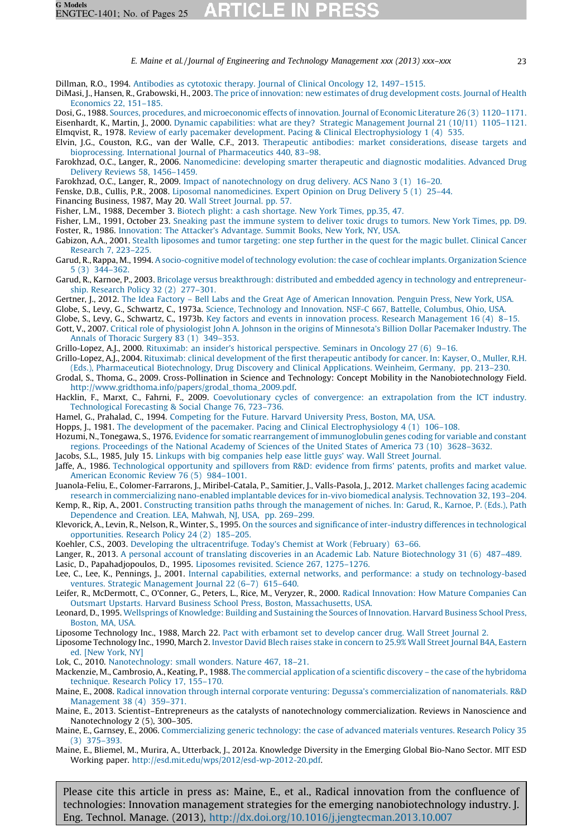<span id="page-22-0"></span>Dillman, R.O., 1994. [Antibodies as cytotoxic therapy. Journal of Clinical Oncology 12, 1497–1515](http://refhub.elsevier.com/S0923-4748(13)00077-5/sbref0135).

DiMasi, J., Hansen, R., Grabowski, H., 2003. [The price of innovation: new estimates of drug development costs. Journal of Health](http://refhub.elsevier.com/S0923-4748(13)00077-5/sbref0140) [Economics 22, 151–185.](http://refhub.elsevier.com/S0923-4748(13)00077-5/sbref0140)

Dosi, G., 1988. [Sources, procedures, and microeconomic effects of innovation. Journal of Economic Literature 26 \(3\) 1120–1171](http://refhub.elsevier.com/S0923-4748(13)00077-5/sbref0145). Eisenhardt, K., Martin, J., 2000. [Dynamic capabilities: what are they? Strategic Management Journal 21 \(10/11\) 1105–1121](http://refhub.elsevier.com/S0923-4748(13)00077-5/sbref0150). Elmqvist, R., 1978. [Review of early pacemaker development. Pacing & Clinical Electrophysiology 1 \(4\) 535.](http://refhub.elsevier.com/S0923-4748(13)00077-5/sbref0155)

Elvin, J.G., Couston, R.G., van der Walle, C.F., 2013. [Therapeutic antibodies: market considerations, disease targets and](http://refhub.elsevier.com/S0923-4748(13)00077-5/sbref0160) [bioprocessing. International Journal of Pharmaceutics 440, 83–98](http://refhub.elsevier.com/S0923-4748(13)00077-5/sbref0160).

Farokhzad, O.C., Langer, R., 2006. [Nanomedicine: developing smarter therapeutic and diagnostic modalities. Advanced Drug](http://refhub.elsevier.com/S0923-4748(13)00077-5/sbref0165) [Delivery Reviews 58, 1456–1459.](http://refhub.elsevier.com/S0923-4748(13)00077-5/sbref0165)

Farokhzad, O.C., Langer, R., 2009. [Impact of nanotechnology on drug delivery. ACS Nano 3 \(1\) 16–20.](http://refhub.elsevier.com/S0923-4748(13)00077-5/sbref0170)

Fenske, D.B., Cullis, P.R., 2008. [Liposomal nanomedicines. Expert Opinion on Drug Delivery 5 \(1\) 25–44](http://refhub.elsevier.com/S0923-4748(13)00077-5/sbref0175).

Financing Business, 1987, May 20. [Wall Street Journal. pp. 57](http://refhub.elsevier.com/S0923-4748(13)00077-5/sbref0180).

Fisher, L.M., 1988, December 3. [Biotech plight: a cash shortage. New York Times, pp.35, 47.](http://refhub.elsevier.com/S0923-4748(13)00077-5/sbref0185)

Fisher, L.M., 1991, October 23. [Sneaking past the immune system to deliver toxic drugs to tumors. New York Times, pp. D9](http://refhub.elsevier.com/S0923-4748(13)00077-5/sbref0190). Foster, R., 1986. [Innovation: The Attacker's Advantage. Summit Books, New York, NY, USA.](http://refhub.elsevier.com/S0923-4748(13)00077-5/sbref0195)

Gabizon, A.A., 2001. [Stealth liposomes and tumor targeting: one step further in the quest for the magic bullet. Clinical Cancer](http://refhub.elsevier.com/S0923-4748(13)00077-5/sbref0200) [Research 7, 223–225](http://refhub.elsevier.com/S0923-4748(13)00077-5/sbref0200).

Garud, R., Rappa, M., 1994. [A socio-cognitive model of technology evolution: the case of cochlear implants. Organization Science](http://refhub.elsevier.com/S0923-4748(13)00077-5/sbref0205) [5 \(3\) 344–362.](http://refhub.elsevier.com/S0923-4748(13)00077-5/sbref0205)

Garud, R., Karnoe, P., 2003. [Bricolage versus breakthrough: distributed and embedded agency in technology and entrepreneur](http://refhub.elsevier.com/S0923-4748(13)00077-5/sbref0210)[ship. Research Policy 32 \(2\) 277–301](http://refhub.elsevier.com/S0923-4748(13)00077-5/sbref0210).

Gertner, J., 2012. [The Idea Factory – Bell Labs and the Great Age of American Innovation. Penguin Press, New York, USA.](http://refhub.elsevier.com/S0923-4748(13)00077-5/sbref0215)

Globe, S., Levy, G., Schwartz, C., 1973a. [Science, Technology and Innovation. NSF-C 667, Battelle, Columbus, Ohio, USA.](http://refhub.elsevier.com/S0923-4748(13)00077-5/sbref0220)

Globe, S., Levy, G., Schwartz, C., 1973b. [Key factors and events in innovation process. Research Management 16 \(4\) 8–15.](http://refhub.elsevier.com/S0923-4748(13)00077-5/sbref0225) Gott, V., 2007. [Critical role of physiologist John A. Johnson in the origins of Minnesota's Billion Dollar Pacemaker Industry. The](http://refhub.elsevier.com/S0923-4748(13)00077-5/sbref0230) [Annals of Thoracic Surgery 83 \(1\) 349–353.](http://refhub.elsevier.com/S0923-4748(13)00077-5/sbref0230)

Grillo-Lopez, A.J., 2000. [Rituximab: an insider's historical perspective. Seminars in Oncology 27 \(6\) 9–16](http://refhub.elsevier.com/S0923-4748(13)00077-5/sbref0235).

Grillo-Lopez, A.J., 2004. [Rituximab: clinical development of the first therapeutic antibody for cancer. In: Kayser, O., Muller, R.H.](http://refhub.elsevier.com/S0923-4748(13)00077-5/sbref0240) [\(Eds.\), Pharmaceutical Biotechnology, Drug Discovery and Clinical Applications. Weinheim, Germany, pp. 213–230](http://refhub.elsevier.com/S0923-4748(13)00077-5/sbref0240).

- Grodal, S., Thoma, G., 2009. Cross-Pollination in Science and Technology: Concept Mobility in the Nanobiotechnology Field. [http://www.gridthoma.info/papers/grodal\\_thoma\\_2009.pdf](http://www.gridthoma.info/papers/grodal_thoma_2009.pdf).
- Hacklin, F., Marxt, C., Fahrni, F., 2009. [Coevolutionary cycles of convergence: an extrapolation from the ICT industry.](http://refhub.elsevier.com/S0923-4748(13)00077-5/sbref0250) [Technological Forecasting & Social Change 76, 723–736.](http://refhub.elsevier.com/S0923-4748(13)00077-5/sbref0250)

Hamel, G., Prahalad, C., 1994. [Competing for the Future. Harvard University Press, Boston, MA, USA](http://refhub.elsevier.com/S0923-4748(13)00077-5/sbref0255).

Hopps, J., 1981. [The development of the pacemaker. Pacing and Clinical Electrophysiology 4 \(1\) 106–108](http://refhub.elsevier.com/S0923-4748(13)00077-5/sbref0260).

Hozumi, N., Tonegawa, S., 1976. [Evidence for somatic rearrangement of immunoglobulin genes coding for variable and constant](http://refhub.elsevier.com/S0923-4748(13)00077-5/sbref0265) [regions. Proceedings of the National Academy of Sciences of the United States of America 73 \(10\) 3628–3632](http://refhub.elsevier.com/S0923-4748(13)00077-5/sbref0265).

Jacobs, S.L., 1985, July 15. [Linkups with big companies help ease little guys' way. Wall Street Journal.](http://refhub.elsevier.com/S0923-4748(13)00077-5/sbref0270)

Jaffe, A., 1986. [Technological opportunity and spillovers from R&D: evidence from firms' patents, profits and market value.](http://refhub.elsevier.com/S0923-4748(13)00077-5/sbref0275) [American Economic Review 76 \(5\) 984–1001](http://refhub.elsevier.com/S0923-4748(13)00077-5/sbref0275).

Juanola-Feliu, E., Colomer-Farrarons, J., Miribel-Catala, P., Samitier, J., Valls-Pasola, J., 2012. [Market challenges facing academic](http://refhub.elsevier.com/S0923-4748(13)00077-5/sbref0280) [research in commercializing nano-enabled implantable devices for in-vivo biomedical analysis. Technovation 32, 193–204](http://refhub.elsevier.com/S0923-4748(13)00077-5/sbref0280).

Kemp, R., Rip, A., 2001. [Constructing transition paths through the management of niches. In: Garud, R., Karnoe, P. \(Eds.\), Path](http://refhub.elsevier.com/S0923-4748(13)00077-5/sbref0285) [Dependence and Creation. LEA, Mahwah, NJ, USA, pp. 269–299.](http://refhub.elsevier.com/S0923-4748(13)00077-5/sbref0285)

Klevorick, A., Levin, R., Nelson, R., Winter, S., 1995. [On the sources and significance of inter-industry differences in technological](http://refhub.elsevier.com/S0923-4748(13)00077-5/sbref0290) [opportunities. Research Policy 24 \(2\) 185–205.](http://refhub.elsevier.com/S0923-4748(13)00077-5/sbref0290)

Koehler, C.S., 2003. [Developing the ultracentrifuge. Today's Chemist at Work \(February\) 63–66](http://refhub.elsevier.com/S0923-4748(13)00077-5/sbref0295).

Langer, R., 2013. [A personal account of translating discoveries in an Academic Lab. Nature Biotechnology 31 \(6\) 487–489](http://refhub.elsevier.com/S0923-4748(13)00077-5/sbref0305). Lasic, D., Papahadjopoulos, D., 1995. [Liposomes revisited. Science 267, 1275–1276](http://refhub.elsevier.com/S0923-4748(13)00077-5/sbref0310).

Lee, C., Lee, K., Pennings, J., 2001. [Internal capabilities, external networks, and performance: a study on technology-based](http://refhub.elsevier.com/S0923-4748(13)00077-5/sbref0315) [ventures. Strategic Management Journal 22 \(6–7\) 615–640](http://refhub.elsevier.com/S0923-4748(13)00077-5/sbref0315).

Leifer, R., McDermott, C., O'Conner, G., Peters, L., Rice, M., Veryzer, R., 2000. [Radical Innovation: How Mature Companies Can](http://refhub.elsevier.com/S0923-4748(13)00077-5/sbref0320) [Outsmart Upstarts. Harvard Business School Press, Boston, Massachusetts, USA](http://refhub.elsevier.com/S0923-4748(13)00077-5/sbref0320).

Leonard, D., 1995. [Wellsprings of Knowledge: Building and Sustaining the Sources of Innovation. Harvard Business School Press,](http://refhub.elsevier.com/S0923-4748(13)00077-5/sbref0325) [Boston, MA, USA.](http://refhub.elsevier.com/S0923-4748(13)00077-5/sbref0325)

Liposome Technology Inc., 1988, March 22. [Pact with erbamont set to develop cancer drug. Wall Street Journal 2](http://refhub.elsevier.com/S0923-4748(13)00077-5/sbref0330).

Liposome Technology Inc., 1990, March 2. [Investor David Blech raises stake in concern to 25.9% Wall Street Journal B4A, Eastern](http://refhub.elsevier.com/S0923-4748(13)00077-5/sbref0335) [ed. \[New York, NY\]](http://refhub.elsevier.com/S0923-4748(13)00077-5/sbref0335)

Lok, C., 2010. [Nanotechnology: small wonders. Nature 467, 18–21.](http://refhub.elsevier.com/S0923-4748(13)00077-5/sbref0340)

Mackenzie, M., Cambrosio, A., Keating, P., 1988. [The commercial application of a scientific discovery – the case of the hybridoma](http://refhub.elsevier.com/S0923-4748(13)00077-5/sbref0345) [technique. Research Policy 17, 155–170.](http://refhub.elsevier.com/S0923-4748(13)00077-5/sbref0345)

Maine, E., 2008. [Radical innovation through internal corporate venturing: Degussa's commercialization of nanomaterials. R&D](http://refhub.elsevier.com/S0923-4748(13)00077-5/sbref0350) [Management 38 \(4\) 359–371.](http://refhub.elsevier.com/S0923-4748(13)00077-5/sbref0350)

- Maine, E., 2013. Scientist–Entrepreneurs as the catalysts of nanotechnology commercialization. Reviews in Nanoscience and Nanotechnology 2 (5), 300–305.
- Maine, E., Garnsey, E., 2006. [Commercializing generic technology: the case of advanced materials ventures. Research Policy 35](http://refhub.elsevier.com/S0923-4748(13)00077-5/sbref0360) [\(3\) 375–393.](http://refhub.elsevier.com/S0923-4748(13)00077-5/sbref0360)

Maine, E., Bliemel, M., Murira, A., Utterback, J., 2012a. Knowledge Diversity in the Emerging Global Bio-Nano Sector. MIT ESD Working paper. [http://esd.mit.edu/wps/2012/esd-wp-2012-20.pdf.](http://esd.mit.edu/wps/2012/esd-wp-2012-20.pdf)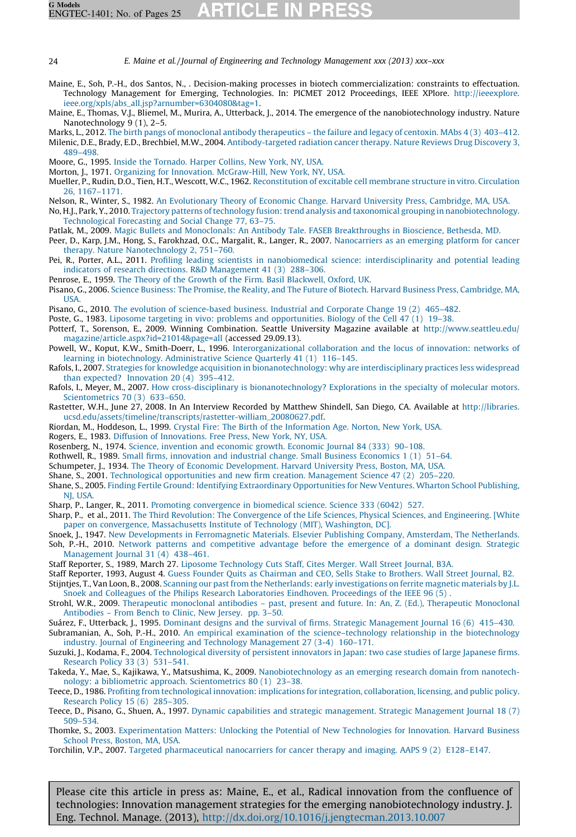<span id="page-23-0"></span>

- Maine, E., Soh, P.-H., dos Santos, N., . Decision-making processes in biotech commercialization: constraints to effectuation. Technology Management for Emerging, Technologies. In: PICMET 2012 Proceedings, IEEE XPlore. [http://ieeexplore.](http://ieeexplore.ieee.org/xpls/abs_all.jsp%3Farnumber=6304080%26tag=1) [ieee.org/xpls/abs\\_all.jsp?arnumber=6304080&tag=1.](http://ieeexplore.ieee.org/xpls/abs_all.jsp%3Farnumber=6304080%26tag=1)
- Maine, E., Thomas, V.J., Bliemel, M., Murira, A., Utterback, J., 2014. The emergence of the nanobiotechnology industry. Nature Nanotechnology 9 (1), 2–5.
- Marks, L., 2012. [The birth pangs of monoclonal antibody therapeutics the failure and legacy of centoxin. MAbs 4 \(3\) 403–412.](http://refhub.elsevier.com/S0923-4748(13)00077-5/sbref0380)
- Milenic, D.E., Brady, E.D., Brechbiel, M.W., 2004. [Antibody-targeted radiation cancer therapy. Nature Reviews Drug Discovery 3,](http://refhub.elsevier.com/S0923-4748(13)00077-5/sbref0385) [489–498.](http://refhub.elsevier.com/S0923-4748(13)00077-5/sbref0385)
- Moore, G., 1995. [Inside the Tornado. Harper Collins, New York, NY, USA.](http://refhub.elsevier.com/S0923-4748(13)00077-5/sbref0390)
- Morton, J., 1971. [Organizing for Innovation. McGraw-Hill, New York, NY, USA.](http://refhub.elsevier.com/S0923-4748(13)00077-5/sbref0395)
- Mueller, P., Rudin, D.O., Tien, H.T., Wescott, W.C., 1962. [Reconstitution of excitable cell membrane structure in vitro. Circulation](http://refhub.elsevier.com/S0923-4748(13)00077-5/sbref0400) [26, 1167–1171.](http://refhub.elsevier.com/S0923-4748(13)00077-5/sbref0400)
- Nelson, R., Winter, S., 1982. [An Evolutionary Theory of Economic Change. Harvard University Press, Cambridge, MA, USA.](http://refhub.elsevier.com/S0923-4748(13)00077-5/sbref0405)
- No, H.J., Park, Y., 2010. [Trajectory patterns of technology fusion: trend analysis and taxonomical grouping in nanobiotechnology.](http://refhub.elsevier.com/S0923-4748(13)00077-5/sbref0410) [Technological Forecasting and Social Change 77, 63–75](http://refhub.elsevier.com/S0923-4748(13)00077-5/sbref0410).
- Patlak, M., 2009. [Magic Bullets and Monoclonals: An Antibody Tale. FASEB Breakthroughs in Bioscience, Bethesda, MD](http://refhub.elsevier.com/S0923-4748(13)00077-5/sbref0415).
- Peer, D., Karp, J.M., Hong, S., Farokhzad, O.C., Margalit, R., Langer, R., 2007. [Nanocarriers as an emerging platform for cancer](http://refhub.elsevier.com/S0923-4748(13)00077-5/sbref0420) [therapy. Nature Nanotechnology 2, 751–760](http://refhub.elsevier.com/S0923-4748(13)00077-5/sbref0420).
- Pei, R., Porter, A.L., 2011. [Profiling leading scientists in nanobiomedical science: interdisciplinarity and potential leading](http://refhub.elsevier.com/S0923-4748(13)00077-5/sbref0425) [indicators of research directions. R&D Management 41 \(3\) 288–306](http://refhub.elsevier.com/S0923-4748(13)00077-5/sbref0425).
- Penrose, E., 1959. [The Theory of the Growth of the Firm. Basil Blackwell, Oxford, UK](http://refhub.elsevier.com/S0923-4748(13)00077-5/sbref0430).
- Pisano, G., 2006. [Science Business: The Promise, the Reality, and The Future of Biotech. Harvard Business Press, Cambridge, MA,](http://refhub.elsevier.com/S0923-4748(13)00077-5/sbref0435) [USA](http://refhub.elsevier.com/S0923-4748(13)00077-5/sbref0435).
- Pisano, G., 2010. [The evolution of science-based business. Industrial and Corporate Change 19 \(2\) 465–482.](http://refhub.elsevier.com/S0923-4748(13)00077-5/sbref0440)
- Poste, G., 1983. [Liposome targeting in vivo: problems and opportunities. Biology of the Cell 47 \(1\) 19–38](http://refhub.elsevier.com/S0923-4748(13)00077-5/sbref0445).
- Potterf, T., Sorenson, E., 2009. Winning Combination. Seattle University Magazine available at [http://www.seattleu.edu/](http://www.seattleu.edu/magazine/article.aspx%3Fid=21014%26page=all) [magazine/article.aspx?id=21014&page=all](http://www.seattleu.edu/magazine/article.aspx%3Fid=21014%26page=all) (accessed 29.09.13).
- Powell, W., Koput, K.W., Smith-Doerr, L., 1996. [Interorganizational collaboration and the locus of innovation: networks of](http://refhub.elsevier.com/S0923-4748(13)00077-5/sbref0455) [learning in biotechnology. Administrative Science Quarterly 41 \(1\) 116–145.](http://refhub.elsevier.com/S0923-4748(13)00077-5/sbref0455)
- Rafols, I., 2007. [Strategies for knowledge acquisition in bionanotechnology: why are interdisciplinary practices less widespread](http://refhub.elsevier.com/S0923-4748(13)00077-5/sbref0460) [than expected? Innovation 20 \(4\) 395–412.](http://refhub.elsevier.com/S0923-4748(13)00077-5/sbref0460)
- Rafols, I., Meyer, M., 2007. [How cross-disciplinary is bionanotechnology? Explorations in the specialty of molecular motors.](http://refhub.elsevier.com/S0923-4748(13)00077-5/sbref0465) [Scientometrics 70 \(3\) 633–650](http://refhub.elsevier.com/S0923-4748(13)00077-5/sbref0465).
- Rastetter, W.H., June 27, 2008. In An Interview Recorded by Matthew Shindell, San Diego, CA. Available at [http://libraries.](http://libraries.ucsd.edu/assets/timeline/transcripts/rastetter-william_20080627.pdf) [ucsd.edu/assets/timeline/transcripts/rastetter-william\\_20080627.pdf.](http://libraries.ucsd.edu/assets/timeline/transcripts/rastetter-william_20080627.pdf)
- Riordan, M., Hoddeson, L., 1999. [Crystal Fire: The Birth of the Information Age. Norton, New York, USA.](http://refhub.elsevier.com/S0923-4748(13)00077-5/sbref0475)
- Rogers, E., 1983. [Diffusion of Innovations. Free Press, New York, NY, USA](http://refhub.elsevier.com/S0923-4748(13)00077-5/sbref0480).
- Rosenberg, N., 1974. [Science, invention and economic growth. Economic Journal 84 \(333\) 90–108.](http://refhub.elsevier.com/S0923-4748(13)00077-5/sbref0485)
- Rothwell, R., 1989. [Small firms, innovation and industrial change. Small Business Economics 1 \(1\) 51–64.](http://refhub.elsevier.com/S0923-4748(13)00077-5/sbref0490)
- Schumpeter, J., 1934. [The Theory of Economic Development. Harvard University Press, Boston, MA, USA](http://refhub.elsevier.com/S0923-4748(13)00077-5/sbref0495).
- Shane, S., 2001. [Technological opportunities and new firm creation. Management Science 47 \(2\) 205–220.](http://refhub.elsevier.com/S0923-4748(13)00077-5/sbref0500)
- Shane, S., 2005. [Finding Fertile Ground: Identifying Extraordinary Opportunities for New Ventures. Wharton School Publishing,](http://refhub.elsevier.com/S0923-4748(13)00077-5/sbref0505) [NJ, USA.](http://refhub.elsevier.com/S0923-4748(13)00077-5/sbref0505)
- Sharp, P., Langer, R., 2011. [Promoting convergence in biomedical science. Science 333 \(6042\) 527.](http://refhub.elsevier.com/S0923-4748(13)00077-5/sbref0510)
- Sharp, P., et al., 2011. [The Third Revolution: The Convergence of the Life Sciences, Physical Sciences, and Engineering. \[White](http://refhub.elsevier.com/S0923-4748(13)00077-5/sbref0515) [paper on convergence, Massachusetts Institute of Technology \(MIT\), Washington, DC\]](http://refhub.elsevier.com/S0923-4748(13)00077-5/sbref0515).
- Snoek, J., 1947. [New Developments in Ferromagnetic Materials. Elsevier Publishing Company, Amsterdam, The Netherlands.](http://refhub.elsevier.com/S0923-4748(13)00077-5/sbref0520) Soh, P.-H., 2010. [Network patterns and competitive advantage before the emergence of a dominant design. Strategic](http://refhub.elsevier.com/S0923-4748(13)00077-5/sbref0525) [Management Journal 31 \(4\) 438–461](http://refhub.elsevier.com/S0923-4748(13)00077-5/sbref0525).
- Staff Reporter, S., 1989, March 27. [Liposome Technology Cuts Staff, Cites Merger. Wall Street Journal, B3A.](http://refhub.elsevier.com/S0923-4748(13)00077-5/sbref0530)
- Staff Reporter, 1993, August 4. [Guess Founder Quits as Chairman and CEO, Sells Stake to Brothers. Wall Street Journal, B2](http://refhub.elsevier.com/S0923-4748(13)00077-5/sbref0535). Stijntjes, T., Van Loon, B., 2008. [Scanning our past from the Netherlands: early investigations on ferrite magnetic materials by J.L.](http://refhub.elsevier.com/S0923-4748(13)00077-5/sbref0540)
- [Snoek and Colleagues of the Philips Research Laboratories Eindhoven. Proceedings of the IEEE 96 \(5\)](http://refhub.elsevier.com/S0923-4748(13)00077-5/sbref0540) . Strohl, W.R., 2009. [Therapeutic monoclonal antibodies – past, present and future. In: An, Z. \(Ed.\), Therapeutic Monoclonal](http://refhub.elsevier.com/S0923-4748(13)00077-5/sbref0545)
- [Antibodies From Bench to Clinic, New Jersey. pp. 3–50.](http://refhub.elsevier.com/S0923-4748(13)00077-5/sbref0545)
- Suárez, F., Utterback, J., 1995. Dominant designs and the survival of firms. Strategic Management Journal 16 (6) 415-430. Subramanian, A., Soh, P.-H., 2010. [An empirical examination of the science–technology relationship in the biotechnology](http://refhub.elsevier.com/S0923-4748(13)00077-5/sbref0555)
- [industry. Journal of Engineering and Technology Management 27 \(3-4\) 160–171](http://refhub.elsevier.com/S0923-4748(13)00077-5/sbref0555). Suzuki, J., Kodama, F., 2004. [Technological diversity of persistent innovators in Japan: two case studies of large Japanese firms.](http://refhub.elsevier.com/S0923-4748(13)00077-5/sbref0560) [Research Policy 33 \(3\) 531–541.](http://refhub.elsevier.com/S0923-4748(13)00077-5/sbref0560)
- Takeda, Y., Mae, S., Kajikawa, Y., Matsushima, K., 2009. [Nanobiotechnology as an emerging research domain from nanotech](http://refhub.elsevier.com/S0923-4748(13)00077-5/sbref0565)[nology: a bibliometric approach. Scientometrics 80 \(1\) 23–38](http://refhub.elsevier.com/S0923-4748(13)00077-5/sbref0565).
- Teece, D., 1986. [Profiting from technological innovation: implications for integration, collaboration, licensing, and public policy.](http://refhub.elsevier.com/S0923-4748(13)00077-5/sbref0570) [Research Policy 15 \(6\) 285–305.](http://refhub.elsevier.com/S0923-4748(13)00077-5/sbref0570)
- Teece, D., Pisano, G., Shuen, A., 1997. [Dynamic capabilities and strategic management. Strategic Management Journal 18 \(7\)](http://refhub.elsevier.com/S0923-4748(13)00077-5/sbref0575) [509–534.](http://refhub.elsevier.com/S0923-4748(13)00077-5/sbref0575)
- Thomke, S., 2003. [Experimentation Matters: Unlocking the Potential of New Technologies for Innovation. Harvard Business](http://refhub.elsevier.com/S0923-4748(13)00077-5/sbref0580) [School Press, Boston, MA, USA.](http://refhub.elsevier.com/S0923-4748(13)00077-5/sbref0580)
- Torchilin, V.P., 2007. [Targeted pharmaceutical nanocarriers for cancer therapy and imaging. AAPS 9 \(2\) E128–E147.](http://refhub.elsevier.com/S0923-4748(13)00077-5/sbref0585)